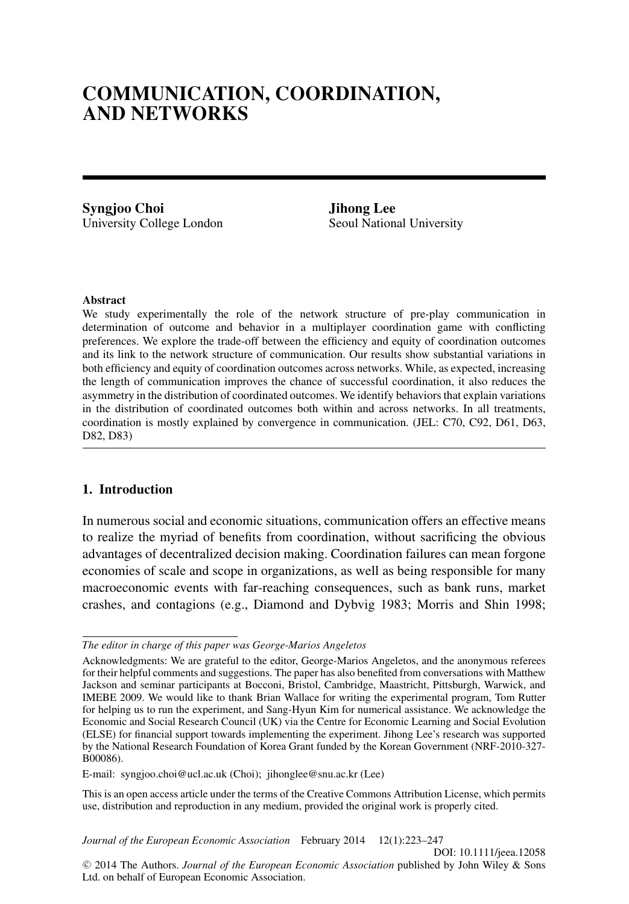# **COMMUNICATION, COORDINATION, AND NETWORKS**

**Syngjoo Choi** University College London **Jihong Lee** Seoul National University

## **Abstract**

We study experimentally the role of the network structure of pre-play communication in determination of outcome and behavior in a multiplayer coordination game with conflicting preferences. We explore the trade-off between the efficiency and equity of coordination outcomes and its link to the network structure of communication. Our results show substantial variations in both efficiency and equity of coordination outcomes across networks. While, as expected, increasing the length of communication improves the chance of successful coordination, it also reduces the asymmetry in the distribution of coordinated outcomes. We identify behaviors that explain variations in the distribution of coordinated outcomes both within and across networks. In all treatments, coordination is mostly explained by convergence in communication. (JEL: C70, C92, D61, D63, D82, D83)

# **1. Introduction**

In numerous social and economic situations, communication offers an effective means to realize the myriad of benefits from coordination, without sacrificing the obvious advantages of decentralized decision making. Coordination failures can mean forgone economies of scale and scope in organizations, as well as being responsible for many macroeconomic events with far-reaching consequences, such as bank runs, market crashes, and contagions (e.g., Diamond and Dybvig 1983; Morris and Shin 1998;

*Journal of the European Economic Association* February 2014 12(1):223–247

*The editor in charge of this paper was George-Marios Angeletos*

Acknowledgments: We are grateful to the editor, George-Marios Angeletos, and the anonymous referees for their helpful comments and suggestions. The paper has also benefited from conversations with Matthew Jackson and seminar participants at Bocconi, Bristol, Cambridge, Maastricht, Pittsburgh, Warwick, and IMEBE 2009. We would like to thank Brian Wallace for writing the experimental program, Tom Rutter for helping us to run the experiment, and Sang-Hyun Kim for numerical assistance. We acknowledge the Economic and Social Research Council (UK) via the Centre for Economic Learning and Social Evolution (ELSE) for financial support towards implementing the experiment. Jihong Lee's research was supported by the National Research Foundation of Korea Grant funded by the Korean Government (NRF-2010-327- B00086).

E-mail: syngjoo.choi@ucl.ac.uk (Choi); jihonglee@snu.ac.kr (Lee)

This is an open access article under the terms of the Creative Commons Attribution License, which permits use, distribution and reproduction in any medium, provided the original work is properly cited.

DOI: 10.1111/jeea.12058 © 2014 The Authors. *Journal of the European Economic Association* published by John Wiley & Sons Ltd. on behalf of European Economic Association.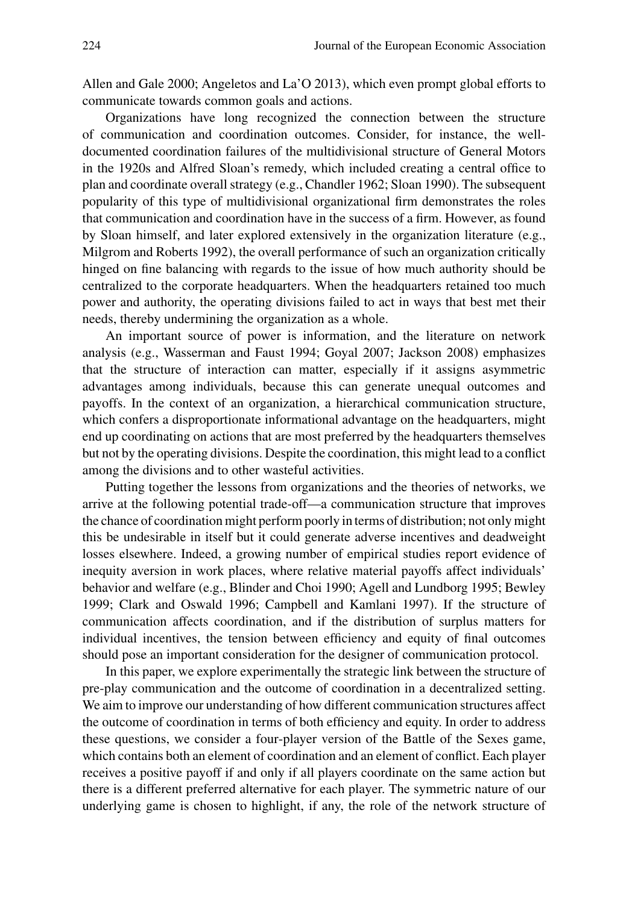Allen and Gale 2000; Angeletos and La'O 2013), which even prompt global efforts to communicate towards common goals and actions.

Organizations have long recognized the connection between the structure of communication and coordination outcomes. Consider, for instance, the welldocumented coordination failures of the multidivisional structure of General Motors in the 1920s and Alfred Sloan's remedy, which included creating a central office to plan and coordinate overall strategy (e.g., Chandler 1962; Sloan 1990). The subsequent popularity of this type of multidivisional organizational firm demonstrates the roles that communication and coordination have in the success of a firm. However, as found by Sloan himself, and later explored extensively in the organization literature (e.g., Milgrom and Roberts 1992), the overall performance of such an organization critically hinged on fine balancing with regards to the issue of how much authority should be centralized to the corporate headquarters. When the headquarters retained too much power and authority, the operating divisions failed to act in ways that best met their needs, thereby undermining the organization as a whole.

An important source of power is information, and the literature on network analysis (e.g., Wasserman and Faust 1994; Goyal 2007; Jackson 2008) emphasizes that the structure of interaction can matter, especially if it assigns asymmetric advantages among individuals, because this can generate unequal outcomes and payoffs. In the context of an organization, a hierarchical communication structure, which confers a disproportionate informational advantage on the headquarters, might end up coordinating on actions that are most preferred by the headquarters themselves but not by the operating divisions. Despite the coordination, this might lead to a conflict among the divisions and to other wasteful activities.

Putting together the lessons from organizations and the theories of networks, we arrive at the following potential trade-off—a communication structure that improves the chance of coordination might perform poorly in terms of distribution; not only might this be undesirable in itself but it could generate adverse incentives and deadweight losses elsewhere. Indeed, a growing number of empirical studies report evidence of inequity aversion in work places, where relative material payoffs affect individuals' behavior and welfare (e.g., Blinder and Choi 1990; Agell and Lundborg 1995; Bewley 1999; Clark and Oswald 1996; Campbell and Kamlani 1997). If the structure of communication affects coordination, and if the distribution of surplus matters for individual incentives, the tension between efficiency and equity of final outcomes should pose an important consideration for the designer of communication protocol.

In this paper, we explore experimentally the strategic link between the structure of pre-play communication and the outcome of coordination in a decentralized setting. We aim to improve our understanding of how different communication structures affect the outcome of coordination in terms of both efficiency and equity. In order to address these questions, we consider a four-player version of the Battle of the Sexes game, which contains both an element of coordination and an element of conflict. Each player receives a positive payoff if and only if all players coordinate on the same action but there is a different preferred alternative for each player. The symmetric nature of our underlying game is chosen to highlight, if any, the role of the network structure of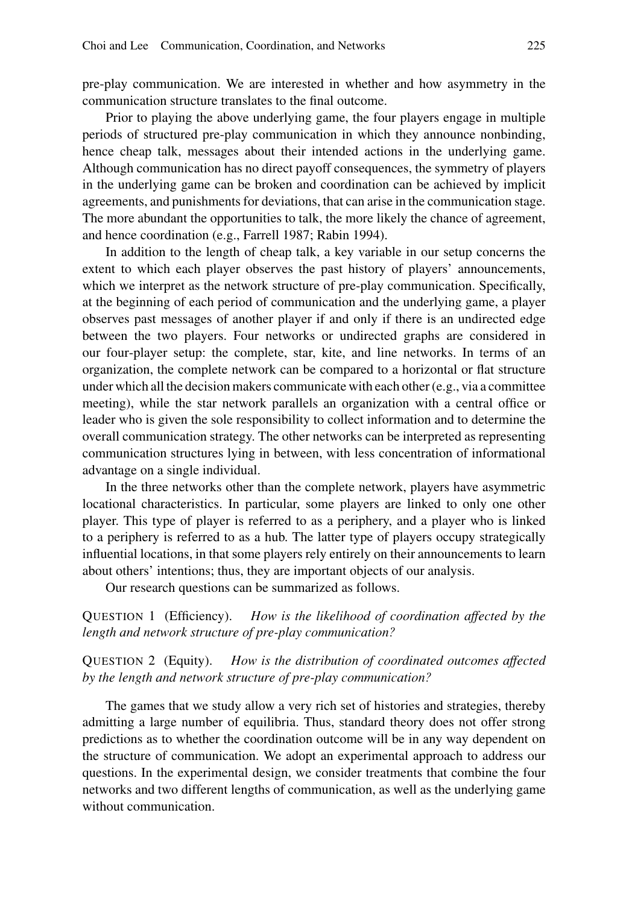pre-play communication. We are interested in whether and how asymmetry in the communication structure translates to the final outcome.

Prior to playing the above underlying game, the four players engage in multiple periods of structured pre-play communication in which they announce nonbinding, hence cheap talk, messages about their intended actions in the underlying game. Although communication has no direct payoff consequences, the symmetry of players in the underlying game can be broken and coordination can be achieved by implicit agreements, and punishments for deviations, that can arise in the communication stage. The more abundant the opportunities to talk, the more likely the chance of agreement, and hence coordination (e.g., Farrell 1987; Rabin 1994).

In addition to the length of cheap talk, a key variable in our setup concerns the extent to which each player observes the past history of players' announcements, which we interpret as the network structure of pre-play communication. Specifically, at the beginning of each period of communication and the underlying game, a player observes past messages of another player if and only if there is an undirected edge between the two players. Four networks or undirected graphs are considered in our four-player setup: the complete, star, kite, and line networks. In terms of an organization, the complete network can be compared to a horizontal or flat structure under which all the decision makers communicate with each other (e.g., via a committee meeting), while the star network parallels an organization with a central office or leader who is given the sole responsibility to collect information and to determine the overall communication strategy. The other networks can be interpreted as representing communication structures lying in between, with less concentration of informational advantage on a single individual.

In the three networks other than the complete network, players have asymmetric locational characteristics. In particular, some players are linked to only one other player. This type of player is referred to as a periphery, and a player who is linked to a periphery is referred to as a hub. The latter type of players occupy strategically influential locations, in that some players rely entirely on their announcements to learn about others' intentions; thus, they are important objects of our analysis.

Our research questions can be summarized as follows.

QUESTION 1 (Efficiency). *How is the likelihood of coordination affected by the length and network structure of pre-play communication?*

QUESTION 2 (Equity). *How is the distribution of coordinated outcomes affected by the length and network structure of pre-play communication?*

The games that we study allow a very rich set of histories and strategies, thereby admitting a large number of equilibria. Thus, standard theory does not offer strong predictions as to whether the coordination outcome will be in any way dependent on the structure of communication. We adopt an experimental approach to address our questions. In the experimental design, we consider treatments that combine the four networks and two different lengths of communication, as well as the underlying game without communication.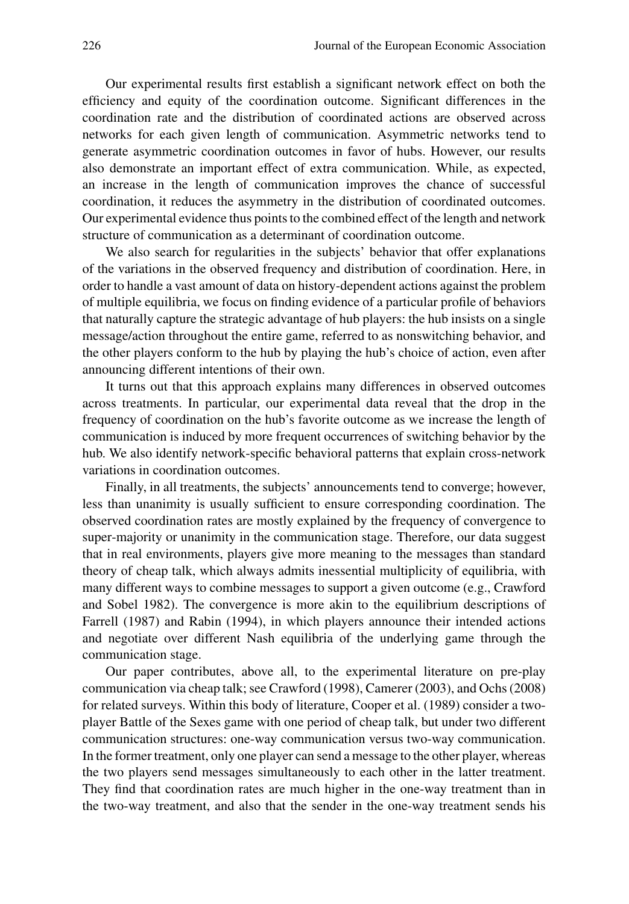Our experimental results first establish a significant network effect on both the efficiency and equity of the coordination outcome. Significant differences in the coordination rate and the distribution of coordinated actions are observed across networks for each given length of communication. Asymmetric networks tend to generate asymmetric coordination outcomes in favor of hubs. However, our results also demonstrate an important effect of extra communication. While, as expected, an increase in the length of communication improves the chance of successful coordination, it reduces the asymmetry in the distribution of coordinated outcomes. Our experimental evidence thus points to the combined effect of the length and network structure of communication as a determinant of coordination outcome.

We also search for regularities in the subjects' behavior that offer explanations of the variations in the observed frequency and distribution of coordination. Here, in order to handle a vast amount of data on history-dependent actions against the problem of multiple equilibria, we focus on finding evidence of a particular profile of behaviors that naturally capture the strategic advantage of hub players: the hub insists on a single message/action throughout the entire game, referred to as nonswitching behavior, and the other players conform to the hub by playing the hub's choice of action, even after announcing different intentions of their own.

It turns out that this approach explains many differences in observed outcomes across treatments. In particular, our experimental data reveal that the drop in the frequency of coordination on the hub's favorite outcome as we increase the length of communication is induced by more frequent occurrences of switching behavior by the hub. We also identify network-specific behavioral patterns that explain cross-network variations in coordination outcomes.

Finally, in all treatments, the subjects' announcements tend to converge; however, less than unanimity is usually sufficient to ensure corresponding coordination. The observed coordination rates are mostly explained by the frequency of convergence to super-majority or unanimity in the communication stage. Therefore, our data suggest that in real environments, players give more meaning to the messages than standard theory of cheap talk, which always admits inessential multiplicity of equilibria, with many different ways to combine messages to support a given outcome (e.g., Crawford and Sobel 1982). The convergence is more akin to the equilibrium descriptions of Farrell (1987) and Rabin (1994), in which players announce their intended actions and negotiate over different Nash equilibria of the underlying game through the communication stage.

Our paper contributes, above all, to the experimental literature on pre-play communication via cheap talk; see Crawford (1998), Camerer (2003), and Ochs (2008) for related surveys. Within this body of literature, Cooper et al. (1989) consider a twoplayer Battle of the Sexes game with one period of cheap talk, but under two different communication structures: one-way communication versus two-way communication. In the former treatment, only one player can send a message to the other player, whereas the two players send messages simultaneously to each other in the latter treatment. They find that coordination rates are much higher in the one-way treatment than in the two-way treatment, and also that the sender in the one-way treatment sends his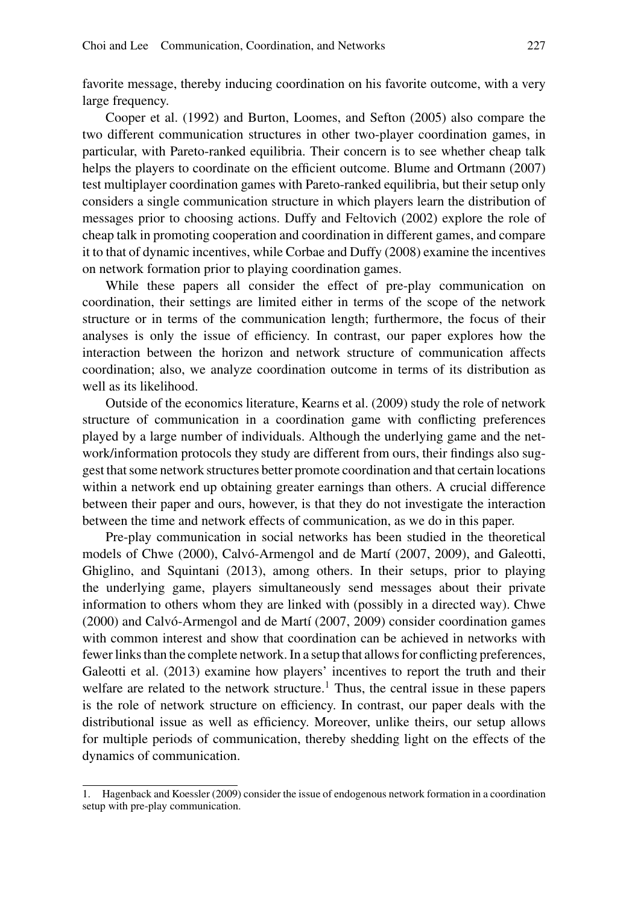favorite message, thereby inducing coordination on his favorite outcome, with a very large frequency.

Cooper et al. (1992) and Burton, Loomes, and Sefton (2005) also compare the two different communication structures in other two-player coordination games, in particular, with Pareto-ranked equilibria. Their concern is to see whether cheap talk helps the players to coordinate on the efficient outcome. Blume and Ortmann (2007) test multiplayer coordination games with Pareto-ranked equilibria, but their setup only considers a single communication structure in which players learn the distribution of messages prior to choosing actions. Duffy and Feltovich (2002) explore the role of cheap talk in promoting cooperation and coordination in different games, and compare it to that of dynamic incentives, while Corbae and Duffy (2008) examine the incentives on network formation prior to playing coordination games.

While these papers all consider the effect of pre-play communication on coordination, their settings are limited either in terms of the scope of the network structure or in terms of the communication length; furthermore, the focus of their analyses is only the issue of efficiency. In contrast, our paper explores how the interaction between the horizon and network structure of communication affects coordination; also, we analyze coordination outcome in terms of its distribution as well as its likelihood.

Outside of the economics literature, Kearns et al. (2009) study the role of network structure of communication in a coordination game with conflicting preferences played by a large number of individuals. Although the underlying game and the network/information protocols they study are different from ours, their findings also suggest that some network structures better promote coordination and that certain locations within a network end up obtaining greater earnings than others. A crucial difference between their paper and ours, however, is that they do not investigate the interaction between the time and network effects of communication, as we do in this paper.

Pre-play communication in social networks has been studied in the theoretical models of Chwe (2000), Calvó-Armengol and de Martí (2007, 2009), and Galeotti, Ghiglino, and Squintani (2013), among others. In their setups, prior to playing the underlying game, players simultaneously send messages about their private information to others whom they are linked with (possibly in a directed way). Chwe  $(2000)$  and Calvó-Armengol and de Martí  $(2007, 2009)$  consider coordination games with common interest and show that coordination can be achieved in networks with fewer links than the complete network. In a setup that allows for conflicting preferences, Galeotti et al. (2013) examine how players' incentives to report the truth and their welfare are related to the network structure.<sup>1</sup> Thus, the central issue in these papers is the role of network structure on efficiency. In contrast, our paper deals with the distributional issue as well as efficiency. Moreover, unlike theirs, our setup allows for multiple periods of communication, thereby shedding light on the effects of the dynamics of communication.

<sup>1.</sup> Hagenback and Koessler (2009) consider the issue of endogenous network formation in a coordination setup with pre-play communication.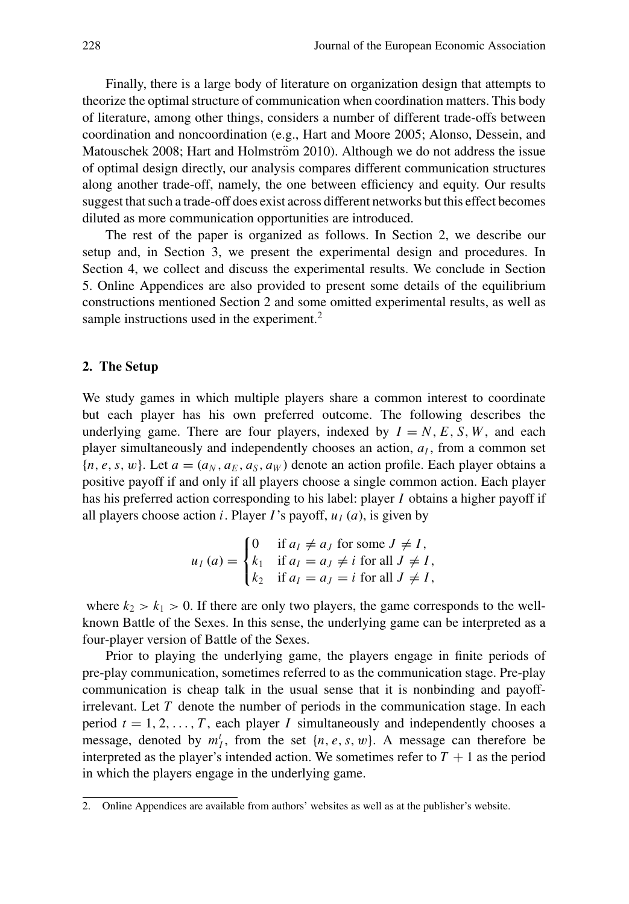Finally, there is a large body of literature on organization design that attempts to theorize the optimal structure of communication when coordination matters. This body of literature, among other things, considers a number of different trade-offs between coordination and noncoordination (e.g., Hart and Moore 2005; Alonso, Dessein, and Matouschek 2008; Hart and Holmström 2010). Although we do not address the issue of optimal design directly, our analysis compares different communication structures along another trade-off, namely, the one between efficiency and equity. Our results suggest that such a trade-off does exist across different networks but this effect becomes diluted as more communication opportunities are introduced.

The rest of the paper is organized as follows. In Section 2, we describe our setup and, in Section 3, we present the experimental design and procedures. In Section 4, we collect and discuss the experimental results. We conclude in Section 5. Online Appendices are also provided to present some details of the equilibrium constructions mentioned Section 2 and some omitted experimental results, as well as sample instructions used in the experiment.<sup>2</sup>

#### **2. The Setup**

We study games in which multiple players share a common interest to coordinate but each player has his own preferred outcome. The following describes the underlying game. There are four players, indexed by  $I = N$ ,  $E$ ,  $S$ ,  $W$ , and each player simultaneously and independently chooses an action,  $a<sub>I</sub>$ , from a common set  ${n, e, s, w}$ . Let  $a = (a_N, a_E, a_S, a_W)$  denote an action profile. Each player obtains a positive payoff if and only if all players choose a single common action. Each player has his preferred action corresponding to his label: player *I* obtains a higher payoff if all players choose action *i*. Player *I*'s payoff,  $u_I(a)$ , is given by

$$
u_I(a) = \begin{cases} 0 & \text{if } a_I \neq a_J \text{ for some } J \neq I, \\ k_1 & \text{if } a_I = a_J \neq i \text{ for all } J \neq I, \\ k_2 & \text{if } a_I = a_J = i \text{ for all } J \neq I, \end{cases}
$$

where  $k_2 > k_1 > 0$ . If there are only two players, the game corresponds to the wellknown Battle of the Sexes. In this sense, the underlying game can be interpreted as a four-player version of Battle of the Sexes.

Prior to playing the underlying game, the players engage in finite periods of pre-play communication, sometimes referred to as the communication stage. Pre-play communication is cheap talk in the usual sense that it is nonbinding and payoffirrelevant. Let *T* denote the number of periods in the communication stage. In each period  $t = 1, 2, \ldots, T$ , each player *I* simultaneously and independently chooses a message, denoted by  $m<sub>I</sub><sup>t</sup>$ , from the set  $\{n, e, s, w\}$ . A message can therefore be interpreted as the player's intended action. We sometimes refer to  $T + 1$  as the period in which the players engage in the underlying game.

<sup>2.</sup> Online Appendices are available from authors' websites as well as at the publisher's website.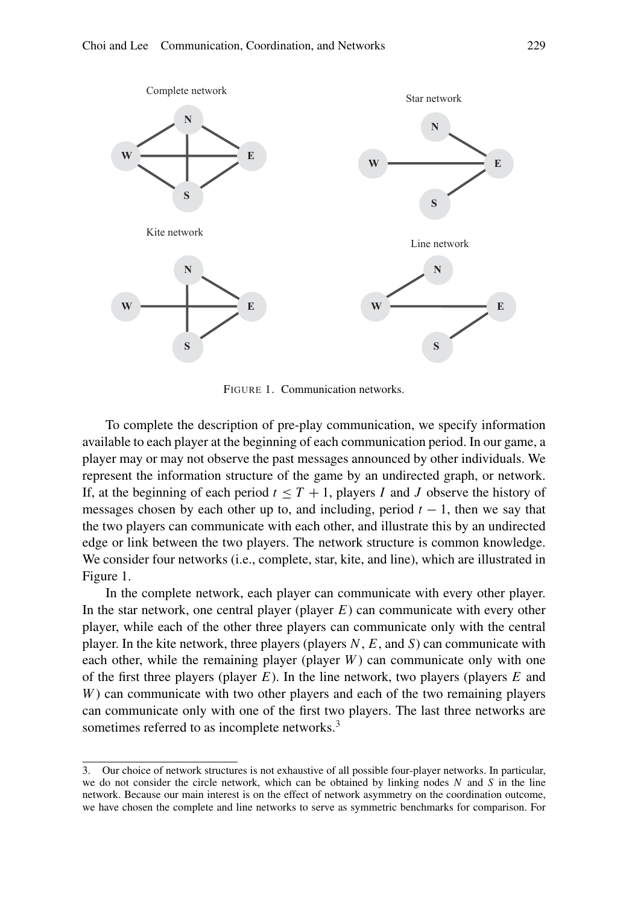

FIGURE 1. Communication networks.

To complete the description of pre-play communication, we specify information available to each player at the beginning of each communication period. In our game, a player may or may not observe the past messages announced by other individuals. We represent the information structure of the game by an undirected graph, or network. If, at the beginning of each period  $t \leq T + 1$ , players *I* and *J* observe the history of messages chosen by each other up to, and including, period  $t - 1$ , then we say that the two players can communicate with each other, and illustrate this by an undirected edge or link between the two players. The network structure is common knowledge. We consider four networks (i.e., complete, star, kite, and line), which are illustrated in Figure 1.

In the complete network, each player can communicate with every other player. In the star network, one central player (player *E*) can communicate with every other player, while each of the other three players can communicate only with the central player. In the kite network, three players (players *N*, *E*, and *S*) can communicate with each other, while the remaining player (player *W*) can communicate only with one of the first three players (player *E*). In the line network, two players (players *E* and *W*) can communicate with two other players and each of the two remaining players can communicate only with one of the first two players. The last three networks are sometimes referred to as incomplete networks.<sup>3</sup>

<sup>3.</sup> Our choice of network structures is not exhaustive of all possible four-player networks. In particular, we do not consider the circle network, which can be obtained by linking nodes *N* and *S* in the line network. Because our main interest is on the effect of network asymmetry on the coordination outcome, we have chosen the complete and line networks to serve as symmetric benchmarks for comparison. For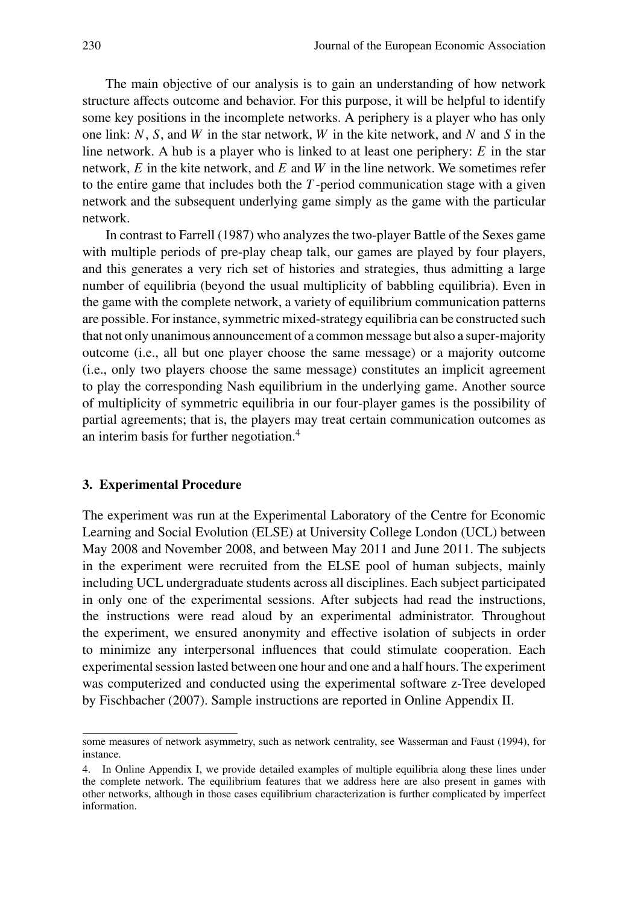The main objective of our analysis is to gain an understanding of how network structure affects outcome and behavior. For this purpose, it will be helpful to identify some key positions in the incomplete networks. A periphery is a player who has only one link: *N*, *S*, and *W* in the star network, *W* in the kite network, and *N* and *S* in the line network. A hub is a player who is linked to at least one periphery: *E* in the star network, *E* in the kite network, and *E* and *W* in the line network. We sometimes refer to the entire game that includes both the *T* -period communication stage with a given network and the subsequent underlying game simply as the game with the particular network.

In contrast to Farrell (1987) who analyzes the two-player Battle of the Sexes game with multiple periods of pre-play cheap talk, our games are played by four players, and this generates a very rich set of histories and strategies, thus admitting a large number of equilibria (beyond the usual multiplicity of babbling equilibria). Even in the game with the complete network, a variety of equilibrium communication patterns are possible. For instance, symmetric mixed-strategy equilibria can be constructed such that not only unanimous announcement of a common message but also a super-majority outcome (i.e., all but one player choose the same message) or a majority outcome (i.e., only two players choose the same message) constitutes an implicit agreement to play the corresponding Nash equilibrium in the underlying game. Another source of multiplicity of symmetric equilibria in our four-player games is the possibility of partial agreements; that is, the players may treat certain communication outcomes as an interim basis for further negotiation.<sup>4</sup>

### **3. Experimental Procedure**

The experiment was run at the Experimental Laboratory of the Centre for Economic Learning and Social Evolution (ELSE) at University College London (UCL) between May 2008 and November 2008, and between May 2011 and June 2011. The subjects in the experiment were recruited from the ELSE pool of human subjects, mainly including UCL undergraduate students across all disciplines. Each subject participated in only one of the experimental sessions. After subjects had read the instructions, the instructions were read aloud by an experimental administrator. Throughout the experiment, we ensured anonymity and effective isolation of subjects in order to minimize any interpersonal influences that could stimulate cooperation. Each experimental session lasted between one hour and one and a half hours. The experiment was computerized and conducted using the experimental software z-Tree developed by Fischbacher (2007). Sample instructions are reported in Online Appendix II.

some measures of network asymmetry, such as network centrality, see Wasserman and Faust (1994), for instance.

<sup>4.</sup> In Online Appendix I, we provide detailed examples of multiple equilibria along these lines under the complete network. The equilibrium features that we address here are also present in games with other networks, although in those cases equilibrium characterization is further complicated by imperfect information.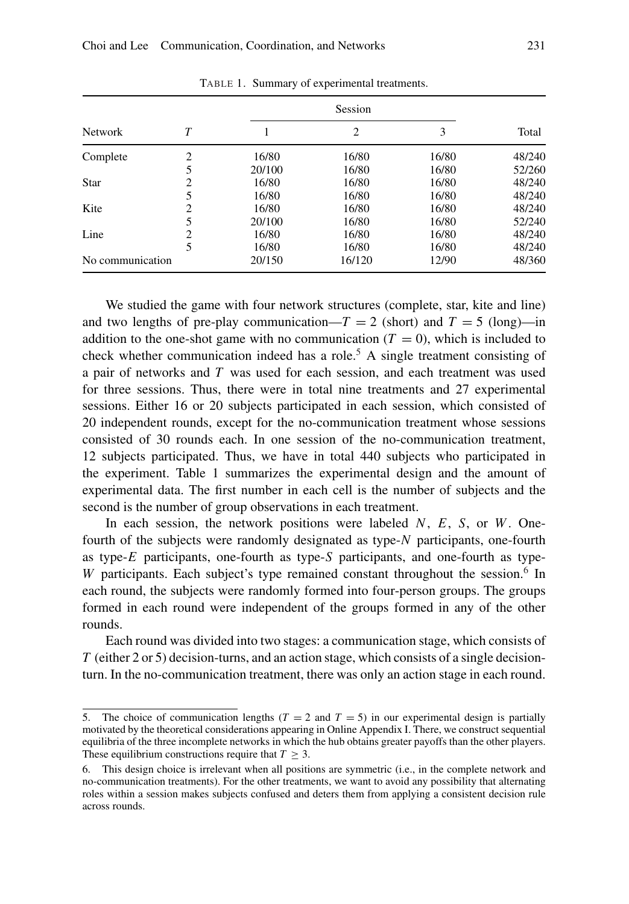| <b>Network</b>   | T                           |        | 2      | 3     | Total  |
|------------------|-----------------------------|--------|--------|-------|--------|
| Complete         | $\mathcal{D}_{\mathcal{L}}$ | 16/80  | 16/80  | 16/80 | 48/240 |
|                  |                             | 20/100 | 16/80  | 16/80 | 52/260 |
| <b>Star</b>      | 2                           | 16/80  | 16/80  | 16/80 | 48/240 |
|                  |                             | 16/80  | 16/80  | 16/80 | 48/240 |
| Kite             | 2                           | 16/80  | 16/80  | 16/80 | 48/240 |
|                  |                             | 20/100 | 16/80  | 16/80 | 52/240 |
| Line             | ∍                           | 16/80  | 16/80  | 16/80 | 48/240 |
|                  |                             | 16/80  | 16/80  | 16/80 | 48/240 |
| No communication |                             | 20/150 | 16/120 | 12/90 | 48/360 |

TABLE 1. Summary of experimental treatments.

We studied the game with four network structures (complete, star, kite and line) and two lengths of pre-play communication— $T = 2$  (short) and  $T = 5$  (long)—in addition to the one-shot game with no communication  $(T = 0)$ , which is included to check whether communication indeed has a role.<sup>5</sup> A single treatment consisting of a pair of networks and *T* was used for each session, and each treatment was used for three sessions. Thus, there were in total nine treatments and 27 experimental sessions. Either 16 or 20 subjects participated in each session, which consisted of 20 independent rounds, except for the no-communication treatment whose sessions consisted of 30 rounds each. In one session of the no-communication treatment, 12 subjects participated. Thus, we have in total 440 subjects who participated in the experiment. Table 1 summarizes the experimental design and the amount of experimental data. The first number in each cell is the number of subjects and the second is the number of group observations in each treatment.

In each session, the network positions were labeled *N*, *E*, *S*, or *W*. Onefourth of the subjects were randomly designated as type-*N* participants, one-fourth as type-*E* participants, one-fourth as type-*S* participants, and one-fourth as type-*W* participants. Each subject's type remained constant throughout the session.<sup>6</sup> In each round, the subjects were randomly formed into four-person groups. The groups formed in each round were independent of the groups formed in any of the other rounds.

Each round was divided into two stages: a communication stage, which consists of *T* (either 2 or 5) decision-turns, and an action stage, which consists of a single decisionturn. In the no-communication treatment, there was only an action stage in each round.

The choice of communication lengths ( $T = 2$  and  $T = 5$ ) in our experimental design is partially motivated by the theoretical considerations appearing in Online Appendix I. There, we construct sequential equilibria of the three incomplete networks in which the hub obtains greater payoffs than the other players. These equilibrium constructions require that  $T \geq 3$ .

<sup>6.</sup> This design choice is irrelevant when all positions are symmetric (i.e., in the complete network and no-communication treatments). For the other treatments, we want to avoid any possibility that alternating roles within a session makes subjects confused and deters them from applying a consistent decision rule across rounds.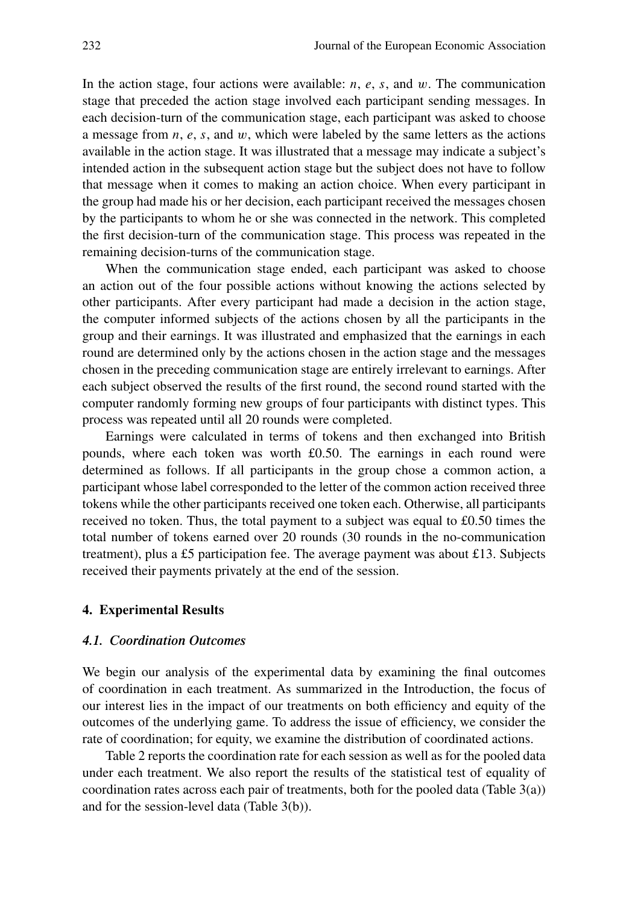In the action stage, four actions were available: *n*, *e*, *s*, and w. The communication stage that preceded the action stage involved each participant sending messages. In each decision-turn of the communication stage, each participant was asked to choose a message from *n*, *e*, *s*, and w, which were labeled by the same letters as the actions available in the action stage. It was illustrated that a message may indicate a subject's intended action in the subsequent action stage but the subject does not have to follow that message when it comes to making an action choice. When every participant in the group had made his or her decision, each participant received the messages chosen by the participants to whom he or she was connected in the network. This completed the first decision-turn of the communication stage. This process was repeated in the remaining decision-turns of the communication stage.

When the communication stage ended, each participant was asked to choose an action out of the four possible actions without knowing the actions selected by other participants. After every participant had made a decision in the action stage, the computer informed subjects of the actions chosen by all the participants in the group and their earnings. It was illustrated and emphasized that the earnings in each round are determined only by the actions chosen in the action stage and the messages chosen in the preceding communication stage are entirely irrelevant to earnings. After each subject observed the results of the first round, the second round started with the computer randomly forming new groups of four participants with distinct types. This process was repeated until all 20 rounds were completed.

Earnings were calculated in terms of tokens and then exchanged into British pounds, where each token was worth £0.50. The earnings in each round were determined as follows. If all participants in the group chose a common action, a participant whose label corresponded to the letter of the common action received three tokens while the other participants received one token each. Otherwise, all participants received no token. Thus, the total payment to a subject was equal to £0.50 times the total number of tokens earned over 20 rounds (30 rounds in the no-communication treatment), plus a £5 participation fee. The average payment was about £13. Subjects received their payments privately at the end of the session.

## **4. Experimental Results**

#### *4.1. Coordination Outcomes*

We begin our analysis of the experimental data by examining the final outcomes of coordination in each treatment. As summarized in the Introduction, the focus of our interest lies in the impact of our treatments on both efficiency and equity of the outcomes of the underlying game. To address the issue of efficiency, we consider the rate of coordination; for equity, we examine the distribution of coordinated actions.

Table 2 reports the coordination rate for each session as well as for the pooled data under each treatment. We also report the results of the statistical test of equality of coordination rates across each pair of treatments, both for the pooled data (Table  $3(a)$ ) and for the session-level data (Table 3(b)).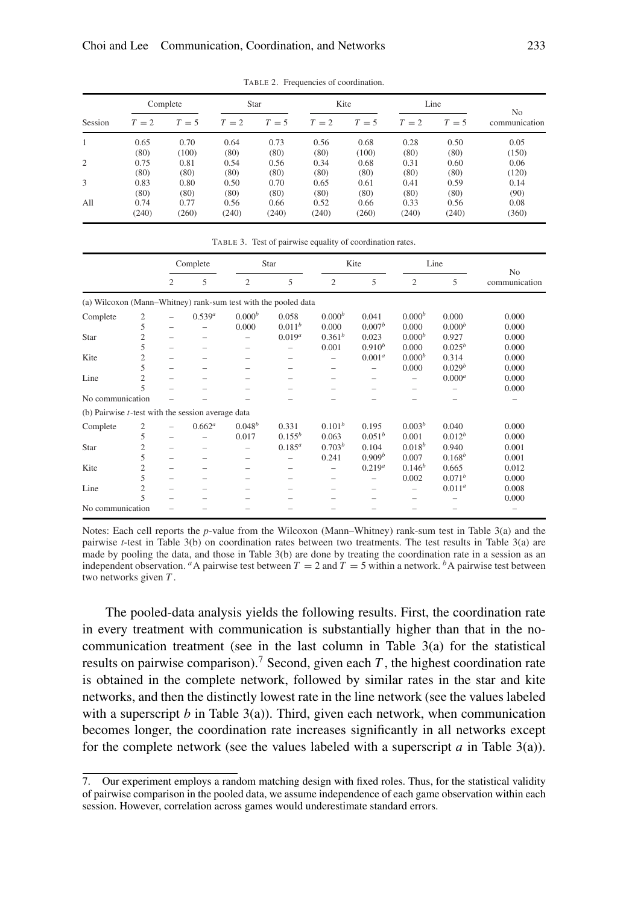| Session |       | Complete |       | Star  |       | Kite  |       | Line  |                     |
|---------|-------|----------|-------|-------|-------|-------|-------|-------|---------------------|
|         | $T=2$ | $T=5$    | $T=2$ | $T=5$ | $T=2$ | $T=5$ | $T=2$ | $T=5$ | No<br>communication |
|         | 0.65  | 0.70     | 0.64  | 0.73  | 0.56  | 0.68  | 0.28  | 0.50  | 0.05                |
|         | (80)  | (100)    | (80)  | (80)  | (80)  | (100) | (80)  | (80)  | (150)               |
| 2       | 0.75  | 0.81     | 0.54  | 0.56  | 0.34  | 0.68  | 0.31  | 0.60  | 0.06                |
|         | (80)  | (80)     | (80)  | (80)  | (80)  | (80)  | (80)  | (80)  | (120)               |
| 3       | 0.83  | 0.80     | 0.50  | 0.70  | 0.65  | 0.61  | 0.41  | 0.59  | 0.14                |
|         | (80)  | (80)     | (80)  | (80)  | (80)  | (80)  | (80)  | (80)  | (90)                |
| All     | 0.74  | 0.77     | 0.56  | 0.66  | 0.52  | 0.66  | 0.33  | 0.56  | 0.08                |
|         | (240) | (260)    | (240) | (240) | (240) | (260) | (240) | (240) | (360)               |

TABLE 2. Frequencies of coordination.

|                                                                |                          |                          | TABLE 3. Test of pairwise equality of coordination rates. |                          |                          |                |             |                    |                    |                     |  |  |  |
|----------------------------------------------------------------|--------------------------|--------------------------|-----------------------------------------------------------|--------------------------|--------------------------|----------------|-------------|--------------------|--------------------|---------------------|--|--|--|
|                                                                |                          |                          | Complete                                                  |                          | Star                     |                | Kite        |                    | Line               |                     |  |  |  |
|                                                                |                          | $\overline{c}$           | 5                                                         | $\overline{2}$           | 5                        | $\overline{2}$ | 5           | $\overline{c}$     | 5                  | No<br>communication |  |  |  |
| (a) Wilcoxon (Mann-Whitney) rank-sum test with the pooled data |                          |                          |                                                           |                          |                          |                |             |                    |                    |                     |  |  |  |
| Complete                                                       | 2                        | $\overline{\phantom{0}}$ | $0.539^{a}$                                               | $0.000^{b}$              | 0.058                    | $0.000^{b}$    | 0.041       | $0.000^{b}$        | 0.000              | 0.000               |  |  |  |
|                                                                | 5                        |                          |                                                           | 0.000                    | $0.011^{b}$              | 0.000          | $0.007^b$   | 0.000              | $0.000^{b}$        | 0.000               |  |  |  |
| Star                                                           | 2                        |                          |                                                           |                          | $0.019^{a}$              | $0.361^{b}$    | 0.023       | 0.000 <sup>b</sup> | 0.927              | 0.000               |  |  |  |
|                                                                | 5                        |                          |                                                           |                          |                          | 0.001          | $0.910^{b}$ | 0.000              | $0.025^{b}$        | 0.000               |  |  |  |
| Kite                                                           | $\overline{2}$           |                          |                                                           | -                        | $\overline{\phantom{0}}$ |                | $0.001^a$   | $0.000^{b}$        | 0.314              | 0.000               |  |  |  |
|                                                                | 5                        |                          |                                                           |                          | -                        |                |             | 0.000              | 0.029 <sup>b</sup> | 0.000               |  |  |  |
| Line                                                           | $\overline{2}$           |                          |                                                           |                          |                          |                | -           |                    | $0.000^a$          | 0.000               |  |  |  |
|                                                                | 5                        |                          |                                                           |                          |                          |                |             |                    |                    | 0.000               |  |  |  |
| No communication                                               |                          |                          |                                                           |                          |                          |                |             |                    |                    |                     |  |  |  |
| (b) Pairwise $t$ -test with the session average data           |                          |                          |                                                           |                          |                          |                |             |                    |                    |                     |  |  |  |
| Complete                                                       | 2                        | $\overline{\phantom{0}}$ | $0.662^a$                                                 | $0.048^{b}$              | 0.331                    | $0.101^{b}$    | 0.195       | 0.003 <sup>b</sup> | 0.040              | 0.000               |  |  |  |
|                                                                | 5                        |                          |                                                           | 0.017                    | $0.155^{b}$              | 0.063          | $0.051^{b}$ | 0.001              | $0.012^{b}$        | 0.000               |  |  |  |
| Star                                                           | $\overline{2}$           |                          |                                                           |                          | $0.185^{a}$              | $0.703^{b}$    | 0.104       | $0.018^{b}$        | 0.940              | 0.001               |  |  |  |
|                                                                | 5                        |                          |                                                           | $\overline{\phantom{0}}$ |                          | 0.241          | $0.909^b$   | 0.007              | $0.168^{b}$        | 0.001               |  |  |  |
| Kite                                                           | $\overline{2}$           |                          | -                                                         | -                        | -                        |                | $0.219^{a}$ | $0.146^{b}$        | 0.665              | 0.012               |  |  |  |
|                                                                | 5                        |                          |                                                           |                          |                          |                |             | 0.002              | $0.071^{b}$        | 0.000               |  |  |  |
| Line                                                           | $\overline{2}$           |                          |                                                           |                          |                          |                |             |                    | $0.011^a$          | 0.008               |  |  |  |
|                                                                | $\overline{\phantom{0}}$ |                          |                                                           |                          |                          |                |             |                    |                    | 0.000               |  |  |  |
| No communication                                               |                          |                          |                                                           |                          |                          |                |             |                    |                    |                     |  |  |  |

Notes: Each cell reports the *p*-value from the Wilcoxon (Mann–Whitney) rank-sum test in Table 3(a) and the pairwise *t*-test in Table 3(b) on coordination rates between two treatments. The test results in Table 3(a) are made by pooling the data, and those in Table 3(b) are done by treating the coordination rate in a session as an independent observation. <sup>*a*</sup>A pairwise test between  $T = 2$  and  $T = 5$  within a network. <sup>*b*</sup>A pairwise test between two networks given *T* .

The pooled-data analysis yields the following results. First, the coordination rate in every treatment with communication is substantially higher than that in the nocommunication treatment (see in the last column in Table 3(a) for the statistical results on pairwise comparison).<sup>7</sup> Second, given each  $T$ , the highest coordination rate is obtained in the complete network, followed by similar rates in the star and kite networks, and then the distinctly lowest rate in the line network (see the values labeled with a superscript *b* in Table 3(a)). Third, given each network, when communication becomes longer, the coordination rate increases significantly in all networks except for the complete network (see the values labeled with a superscript *a* in Table 3(a)).

<sup>7.</sup> Our experiment employs a random matching design with fixed roles. Thus, for the statistical validity of pairwise comparison in the pooled data, we assume independence of each game observation within each session. However, correlation across games would underestimate standard errors.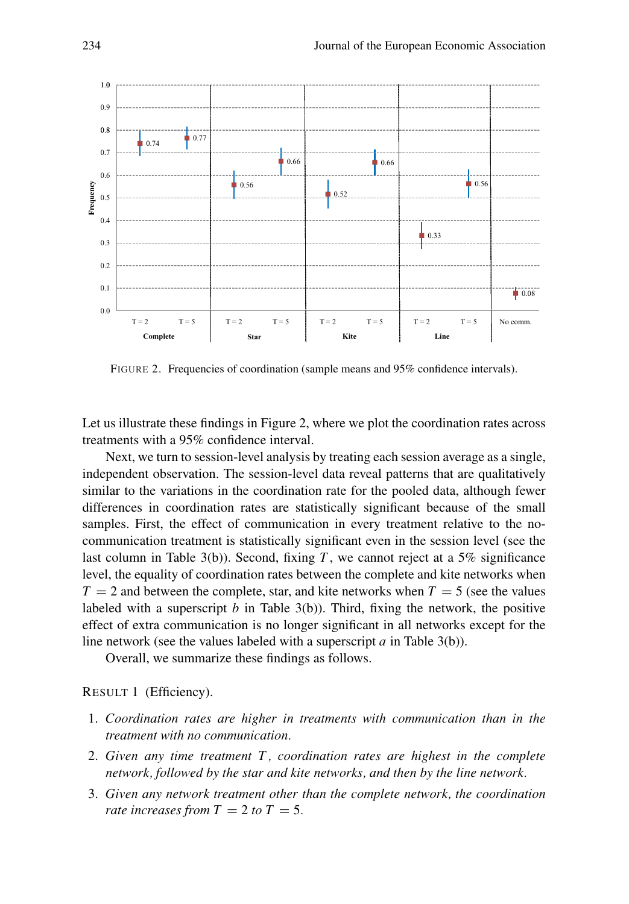

FIGURE 2. Frequencies of coordination (sample means and 95% confidence intervals).

Let us illustrate these findings in Figure 2, where we plot the coordination rates across treatments with a 95% confidence interval.

Next, we turn to session-level analysis by treating each session average as a single, independent observation. The session-level data reveal patterns that are qualitatively similar to the variations in the coordination rate for the pooled data, although fewer differences in coordination rates are statistically significant because of the small samples. First, the effect of communication in every treatment relative to the nocommunication treatment is statistically significant even in the session level (see the last column in Table 3(b)). Second, fixing  $T$ , we cannot reject at a 5% significance level, the equality of coordination rates between the complete and kite networks when  $T = 2$  and between the complete, star, and kite networks when  $T = 5$  (see the values labeled with a superscript *b* in Table 3(b)). Third, fixing the network, the positive effect of extra communication is no longer significant in all networks except for the line network (see the values labeled with a superscript *a* in Table 3(b)).

Overall, we summarize these findings as follows.

### RESULT 1 (Efficiency).

- 1. *Coordination rates are higher in treatments with communication than in the treatment with no communication.*
- 2. *Given any time treatment T , coordination rates are highest in the complete network, followed by the star and kite networks, and then by the line network.*
- 3. *Given any network treatment other than the complete network, the coordination rate increases from*  $T = 2$  *to*  $T = 5$ *.*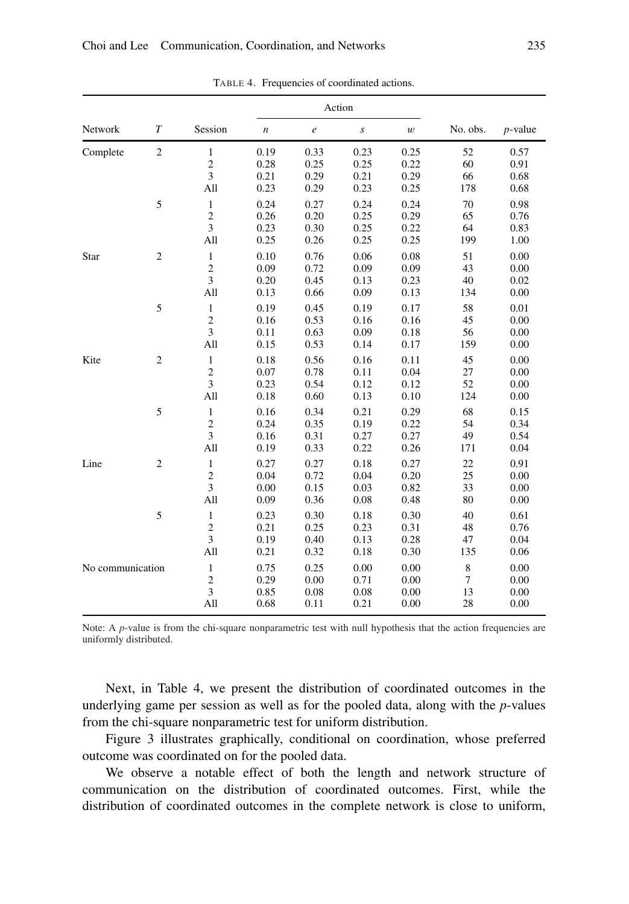|                  |                |                                                              |                              |                              | Action                       |                              |                                           |                              |
|------------------|----------------|--------------------------------------------------------------|------------------------------|------------------------------|------------------------------|------------------------------|-------------------------------------------|------------------------------|
| Network          | $\overline{T}$ | Session                                                      | $\boldsymbol{n}$             | $\mathfrak{e}$               | $\boldsymbol{S}$             | $\boldsymbol{w}$             | No. obs.                                  | $p$ -value                   |
| Complete         | $\overline{2}$ | 1<br>$\overline{c}$<br>3<br>All                              | 0.19<br>0.28<br>0.21<br>0.23 | 0.33<br>0.25<br>0.29<br>0.29 | 0.23<br>0.25<br>0.21<br>0.23 | 0.25<br>0.22<br>0.29<br>0.25 | 52<br>60<br>66<br>178                     | 0.57<br>0.91<br>0.68<br>0.68 |
|                  | 5              | $\mathbf{1}$<br>$\overline{c}$<br>3<br>All                   | 0.24<br>0.26<br>0.23<br>0.25 | 0.27<br>0.20<br>0.30<br>0.26 | 0.24<br>0.25<br>0.25<br>0.25 | 0.24<br>0.29<br>0.22<br>0.25 | 70<br>65<br>64<br>199                     | 0.98<br>0.76<br>0.83<br>1.00 |
| Star             | $\overline{2}$ | $\mathbf{1}$<br>$\overline{2}$<br>3<br>All                   | 0.10<br>0.09<br>0.20<br>0.13 | 0.76<br>0.72<br>0.45<br>0.66 | 0.06<br>0.09<br>0.13<br>0.09 | 0.08<br>0.09<br>0.23<br>0.13 | 51<br>43<br>40<br>134                     | 0.00<br>0.00<br>0.02<br>0.00 |
|                  | 5              | $\mathbf{1}$<br>$\overline{2}$<br>3<br>All                   | 0.19<br>0.16<br>0.11<br>0.15 | 0.45<br>0.53<br>0.63<br>0.53 | 0.19<br>0.16<br>0.09<br>0.14 | 0.17<br>0.16<br>0.18<br>0.17 | 58<br>45<br>56<br>159                     | 0.01<br>0.00<br>0.00<br>0.00 |
| Kite             | $\overline{c}$ | $\mathbf{1}$<br>$\sqrt{2}$<br>$\overline{\mathbf{3}}$<br>All | 0.18<br>0.07<br>0.23<br>0.18 | 0.56<br>0.78<br>0.54<br>0.60 | 0.16<br>0.11<br>0.12<br>0.13 | 0.11<br>0.04<br>0.12<br>0.10 | 45<br>27<br>52<br>124                     | 0.00<br>0.00<br>0.00<br>0.00 |
|                  | 5              | $\mathbf{1}$<br>$\overline{c}$<br>3<br>All                   | 0.16<br>0.24<br>0.16<br>0.19 | 0.34<br>0.35<br>0.31<br>0.33 | 0.21<br>0.19<br>0.27<br>0.22 | 0.29<br>0.22<br>0.27<br>0.26 | 68<br>54<br>49<br>171                     | 0.15<br>0.34<br>0.54<br>0.04 |
| Line             | $\overline{2}$ | $\mathbf{1}$<br>$\overline{2}$<br>3<br>All                   | 0.27<br>0.04<br>0.00<br>0.09 | 0.27<br>0.72<br>0.15<br>0.36 | 0.18<br>0.04<br>0.03<br>0.08 | 0.27<br>0.20<br>0.82<br>0.48 | 22<br>25<br>33<br>80                      | 0.91<br>0.00<br>0.00<br>0.00 |
|                  | 5              | $\mathbf{1}$<br>$\sqrt{2}$<br>3<br>All                       | 0.23<br>0.21<br>0.19<br>0.21 | 0.30<br>0.25<br>0.40<br>0.32 | 0.18<br>0.23<br>0.13<br>0.18 | 0.30<br>0.31<br>0.28<br>0.30 | 40<br>48<br>47<br>135                     | 0.61<br>0.76<br>0.04<br>0.06 |
| No communication |                | $\mathbf{1}$<br>$\overline{c}$<br>3<br>All                   | 0.75<br>0.29<br>0.85<br>0.68 | 0.25<br>0.00<br>0.08<br>0.11 | 0.00<br>0.71<br>0.08<br>0.21 | 0.00<br>0.00<br>0.00<br>0.00 | $\,$ 8 $\,$<br>$\overline{7}$<br>13<br>28 | 0.00<br>0.00<br>0.00<br>0.00 |

TABLE 4. Frequencies of coordinated actions.

Note: A *p*-value is from the chi-square nonparametric test with null hypothesis that the action frequencies are uniformly distributed.

Next, in Table 4, we present the distribution of coordinated outcomes in the underlying game per session as well as for the pooled data, along with the *p*-values from the chi-square nonparametric test for uniform distribution.

Figure 3 illustrates graphically, conditional on coordination, whose preferred outcome was coordinated on for the pooled data.

We observe a notable effect of both the length and network structure of communication on the distribution of coordinated outcomes. First, while the distribution of coordinated outcomes in the complete network is close to uniform,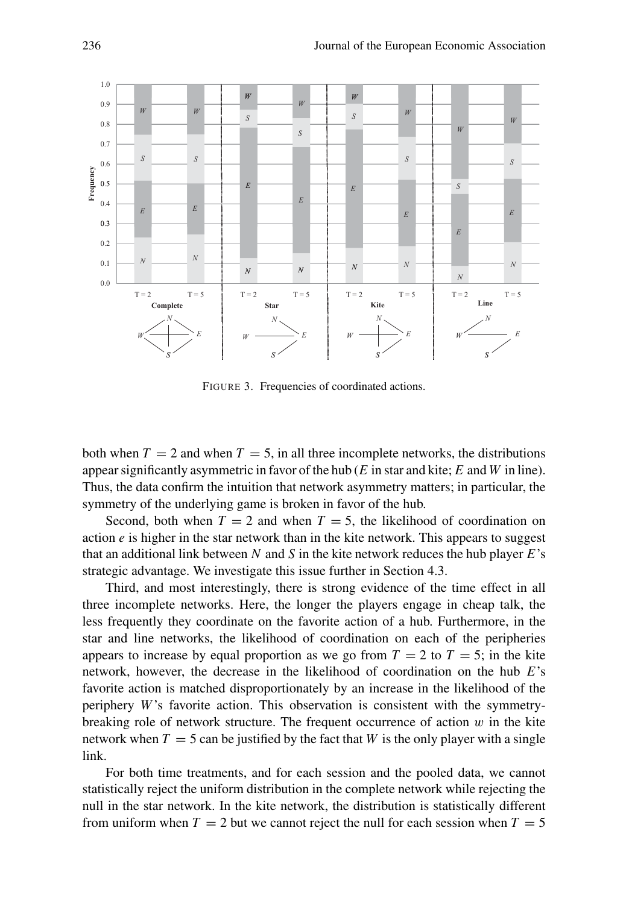

FIGURE 3. Frequencies of coordinated actions.

both when  $T = 2$  and when  $T = 5$ , in all three incomplete networks, the distributions appear significantly asymmetric in favor of the hub (*E* in star and kite; *E* and *W* in line). Thus, the data confirm the intuition that network asymmetry matters; in particular, the symmetry of the underlying game is broken in favor of the hub.

Second, both when  $T = 2$  and when  $T = 5$ , the likelihood of coordination on action  $e$  is higher in the star network than in the kite network. This appears to suggest that an additional link between *N* and *S* in the kite network reduces the hub player *E*'s strategic advantage. We investigate this issue further in Section 4.3.

Third, and most interestingly, there is strong evidence of the time effect in all three incomplete networks. Here, the longer the players engage in cheap talk, the less frequently they coordinate on the favorite action of a hub. Furthermore, in the star and line networks, the likelihood of coordination on each of the peripheries appears to increase by equal proportion as we go from  $T = 2$  to  $T = 5$ ; in the kite network, however, the decrease in the likelihood of coordination on the hub *E*'s favorite action is matched disproportionately by an increase in the likelihood of the periphery *W*'s favorite action. This observation is consistent with the symmetrybreaking role of network structure. The frequent occurrence of action  $w$  in the kite network when  $T = 5$  can be justified by the fact that *W* is the only player with a single link.

For both time treatments, and for each session and the pooled data, we cannot statistically reject the uniform distribution in the complete network while rejecting the null in the star network. In the kite network, the distribution is statistically different from uniform when  $T = 2$  but we cannot reject the null for each session when  $T = 5$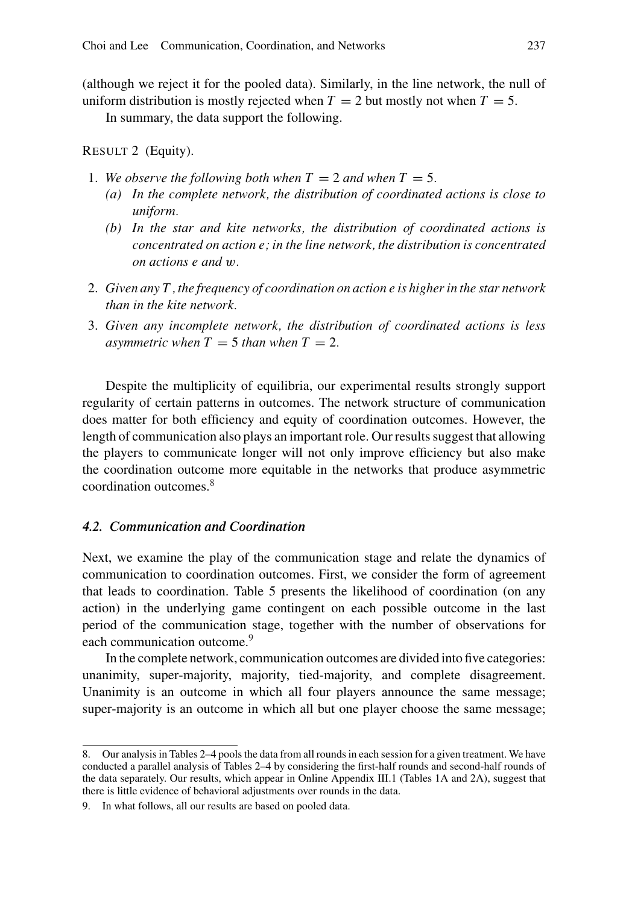(although we reject it for the pooled data). Similarly, in the line network, the null of uniform distribution is mostly rejected when  $T = 2$  but mostly not when  $T = 5$ .

In summary, the data support the following.

RESULT 2 (Equity).

- 1. We observe the following both when  $T = 2$  and when  $T = 5$ .
	- *(a) In the complete network, the distribution of coordinated actions is close to uniform.*
	- *(b) In the star and kite networks, the distribution of coordinated actions is concentrated on action e; in the line network, the distribution is concentrated on actions e and* w*.*
- 2. *Given any T , the frequency of coordination on action e is higher in the star network than in the kite network.*
- 3. *Given any incomplete network, the distribution of coordinated actions is less asymmetric when*  $T = 5$  *than when*  $T = 2$ *.*

Despite the multiplicity of equilibria, our experimental results strongly support regularity of certain patterns in outcomes. The network structure of communication does matter for both efficiency and equity of coordination outcomes. However, the length of communication also plays an important role. Our results suggest that allowing the players to communicate longer will not only improve efficiency but also make the coordination outcome more equitable in the networks that produce asymmetric coordination outcomes.<sup>8</sup>

# *4.2. Communication and Coordination*

Next, we examine the play of the communication stage and relate the dynamics of communication to coordination outcomes. First, we consider the form of agreement that leads to coordination. Table 5 presents the likelihood of coordination (on any action) in the underlying game contingent on each possible outcome in the last period of the communication stage, together with the number of observations for each communication outcome.<sup>9</sup>

In the complete network, communication outcomes are divided into five categories: unanimity, super-majority, majority, tied-majority, and complete disagreement. Unanimity is an outcome in which all four players announce the same message; super-majority is an outcome in which all but one player choose the same message;

<sup>8.</sup> Our analysis in Tables 2–4 pools the data from all rounds in each session for a given treatment. We have conducted a parallel analysis of Tables 2–4 by considering the first-half rounds and second-half rounds of the data separately. Our results, which appear in Online Appendix III.1 (Tables 1A and 2A), suggest that there is little evidence of behavioral adjustments over rounds in the data.

<sup>9.</sup> In what follows, all our results are based on pooled data.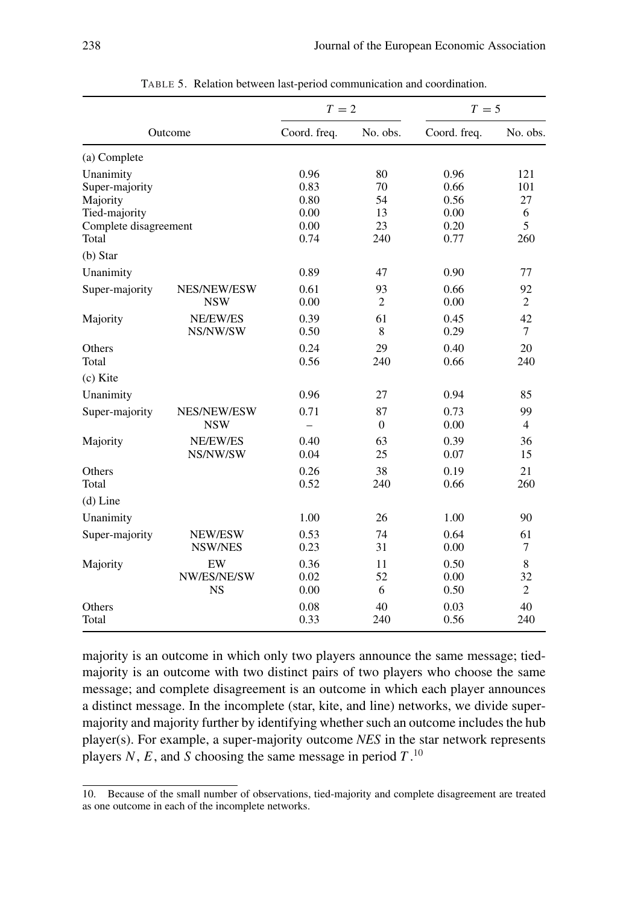|                                                                                            |                                  | $T=2$                                        |                                   | $T=5$                                        |                                   |
|--------------------------------------------------------------------------------------------|----------------------------------|----------------------------------------------|-----------------------------------|----------------------------------------------|-----------------------------------|
|                                                                                            | Outcome                          | Coord. freq.                                 | No. obs.                          | Coord. freq.                                 | No. obs.                          |
| (a) Complete                                                                               |                                  |                                              |                                   |                                              |                                   |
| Unanimity<br>Super-majority<br>Majority<br>Tied-majority<br>Complete disagreement<br>Total |                                  | 0.96<br>0.83<br>0.80<br>0.00<br>0.00<br>0.74 | 80<br>70<br>54<br>13<br>23<br>240 | 0.96<br>0.66<br>0.56<br>0.00<br>0.20<br>0.77 | 121<br>101<br>27<br>6<br>5<br>260 |
| $(b)$ Star                                                                                 |                                  |                                              |                                   |                                              |                                   |
| Unanimity                                                                                  |                                  | 0.89                                         | 47                                | 0.90                                         | 77                                |
| Super-majority                                                                             | NES/NEW/ESW<br><b>NSW</b>        | 0.61<br>0.00                                 | 93<br>$\overline{2}$              | 0.66<br>0.00                                 | 92<br>$\overline{2}$              |
| Majority                                                                                   | NE/EW/ES<br>NS/NW/SW             | 0.39<br>0.50                                 | 61<br>8                           | 0.45<br>0.29                                 | 42<br>$\tau$                      |
| Others<br>Total                                                                            |                                  | 0.24<br>0.56                                 | 29<br>240                         | 0.40<br>0.66                                 | 20<br>240                         |
| (c) Kite                                                                                   |                                  |                                              |                                   |                                              |                                   |
| Unanimity                                                                                  |                                  | 0.96                                         | 27                                | 0.94                                         | 85                                |
| Super-majority                                                                             | NES/NEW/ESW<br><b>NSW</b>        | 0.71                                         | 87<br>$\overline{0}$              | 0.73<br>0.00                                 | 99<br>$\overline{4}$              |
| Majority                                                                                   | NE/EW/ES<br>NS/NW/SW             | 0.40<br>0.04                                 | 63<br>25                          | 0.39<br>0.07                                 | 36<br>15                          |
| Others<br>Total                                                                            |                                  | 0.26<br>0.52                                 | 38<br>240                         | 0.19<br>0.66                                 | 21<br>260                         |
| $(d)$ Line                                                                                 |                                  |                                              |                                   |                                              |                                   |
| Unanimity                                                                                  |                                  | 1.00                                         | 26                                | 1.00                                         | 90                                |
| Super-majority                                                                             | <b>NEW/ESW</b><br><b>NSW/NES</b> | 0.53<br>0.23                                 | 74<br>31                          | 0.64<br>0.00                                 | 61<br>7                           |
| Majority                                                                                   | EW<br>NW/ES/NE/SW<br><b>NS</b>   | 0.36<br>0.02<br>0.00                         | 11<br>52<br>6                     | 0.50<br>0.00<br>0.50                         | 8<br>32<br>$\overline{2}$         |
| Others<br>Total                                                                            |                                  | 0.08<br>0.33                                 | 40<br>240                         | 0.03<br>0.56                                 | 40<br>240                         |

TABLE 5. Relation between last-period communication and coordination.

majority is an outcome in which only two players announce the same message; tiedmajority is an outcome with two distinct pairs of two players who choose the same message; and complete disagreement is an outcome in which each player announces a distinct message. In the incomplete (star, kite, and line) networks, we divide supermajority and majority further by identifying whether such an outcome includes the hub player(s). For example, a super-majority outcome *NES* in the star network represents players *N*, *E*, and *S* choosing the same message in period *T* . 10

<sup>10.</sup> Because of the small number of observations, tied-majority and complete disagreement are treated as one outcome in each of the incomplete networks.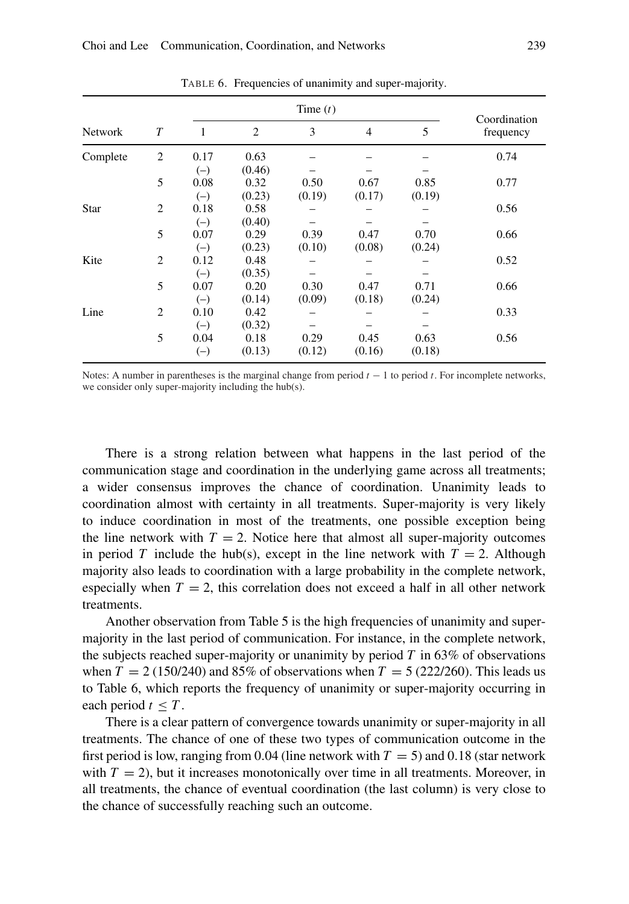|                |   |               |                |        | Coordination |        |           |
|----------------|---|---------------|----------------|--------|--------------|--------|-----------|
| <b>Network</b> | T | 1             | $\overline{2}$ | 3      | 4            | 5      | frequency |
| Complete       | 2 | 0.17          | 0.63           |        |              |        | 0.74      |
|                | 5 | $(-)$<br>0.08 | (0.46)<br>0.32 | 0.50   | 0.67         | 0.85   | 0.77      |
| <b>Star</b>    | 2 | $(-)$<br>0.18 | (0.23)<br>0.58 | (0.19) | (0.17)       | (0.19) | 0.56      |
|                | 5 | $(-)$<br>0.07 | (0.40)<br>0.29 | 0.39   | 0.47         | 0.70   | 0.66      |
| Kite           | 2 | $(-)$<br>0.12 | (0.23)<br>0.48 | (0.10) | (0.08)       | (0.24) | 0.52      |
|                | 5 | $(-)$<br>0.07 | (0.35)<br>0.20 | 0.30   | 0.47         | 0.71   | 0.66      |
| Line           | 2 | $(-)$<br>0.10 | (0.14)<br>0.42 | (0.09) | (0.18)       | (0.24) | 0.33      |
|                | 5 | $(-)$<br>0.04 | (0.32)<br>0.18 | 0.29   | 0.45         | 0.63   | 0.56      |
|                |   | $(-)$         | (0.13)         | (0.12) | (0.16)       | (0.18) |           |

TABLE 6. Frequencies of unanimity and super-majority.

Notes: A number in parentheses is the marginal change from period *t* − 1 to period *t*. For incomplete networks, we consider only super-majority including the hub(s).

There is a strong relation between what happens in the last period of the communication stage and coordination in the underlying game across all treatments; a wider consensus improves the chance of coordination. Unanimity leads to coordination almost with certainty in all treatments. Super-majority is very likely to induce coordination in most of the treatments, one possible exception being the line network with  $T = 2$ . Notice here that almost all super-majority outcomes in period *T* include the hub(s), except in the line network with  $T = 2$ . Although majority also leads to coordination with a large probability in the complete network, especially when  $T = 2$ , this correlation does not exceed a half in all other network treatments.

Another observation from Table 5 is the high frequencies of unanimity and supermajority in the last period of communication. For instance, in the complete network, the subjects reached super-majority or unanimity by period  $T$  in 63% of observations when  $T = 2 (150/240)$  and 85% of observations when  $T = 5 (222/260)$ . This leads us to Table 6, which reports the frequency of unanimity or super-majority occurring in each period  $t < T$ .

There is a clear pattern of convergence towards unanimity or super-majority in all treatments. The chance of one of these two types of communication outcome in the first period is low, ranging from 0.04 (line network with  $T = 5$ ) and 0.18 (star network with  $T = 2$ ), but it increases monotonically over time in all treatments. Moreover, in all treatments, the chance of eventual coordination (the last column) is very close to the chance of successfully reaching such an outcome.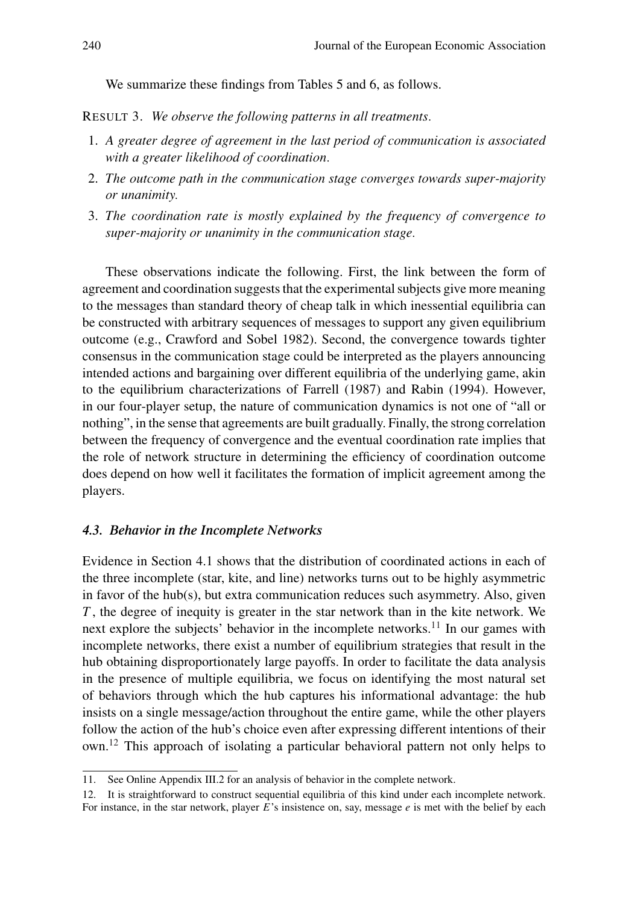We summarize these findings from Tables 5 and 6, as follows.

RESULT 3. *We observe the following patterns in all treatments.*

- 1. *A greater degree of agreement in the last period of communication is associated with a greater likelihood of coordination.*
- 2. *The outcome path in the communication stage converges towards super-majority or unanimity.*
- 3. *The coordination rate is mostly explained by the frequency of convergence to super-majority or unanimity in the communication stage.*

These observations indicate the following. First, the link between the form of agreement and coordination suggests that the experimental subjects give more meaning to the messages than standard theory of cheap talk in which inessential equilibria can be constructed with arbitrary sequences of messages to support any given equilibrium outcome (e.g., Crawford and Sobel 1982). Second, the convergence towards tighter consensus in the communication stage could be interpreted as the players announcing intended actions and bargaining over different equilibria of the underlying game, akin to the equilibrium characterizations of Farrell (1987) and Rabin (1994). However, in our four-player setup, the nature of communication dynamics is not one of "all or nothing", in the sense that agreements are built gradually. Finally, the strong correlation between the frequency of convergence and the eventual coordination rate implies that the role of network structure in determining the efficiency of coordination outcome does depend on how well it facilitates the formation of implicit agreement among the players.

## *4.3. Behavior in the Incomplete Networks*

Evidence in Section 4.1 shows that the distribution of coordinated actions in each of the three incomplete (star, kite, and line) networks turns out to be highly asymmetric in favor of the hub(s), but extra communication reduces such asymmetry. Also, given *T* , the degree of inequity is greater in the star network than in the kite network. We next explore the subjects' behavior in the incomplete networks.<sup>11</sup> In our games with incomplete networks, there exist a number of equilibrium strategies that result in the hub obtaining disproportionately large payoffs. In order to facilitate the data analysis in the presence of multiple equilibria, we focus on identifying the most natural set of behaviors through which the hub captures his informational advantage: the hub insists on a single message/action throughout the entire game, while the other players follow the action of the hub's choice even after expressing different intentions of their own.<sup>12</sup> This approach of isolating a particular behavioral pattern not only helps to

<sup>11.</sup> See Online Appendix III.2 for an analysis of behavior in the complete network.

<sup>12.</sup> It is straightforward to construct sequential equilibria of this kind under each incomplete network. For instance, in the star network, player *E*'s insistence on, say, message *e* is met with the belief by each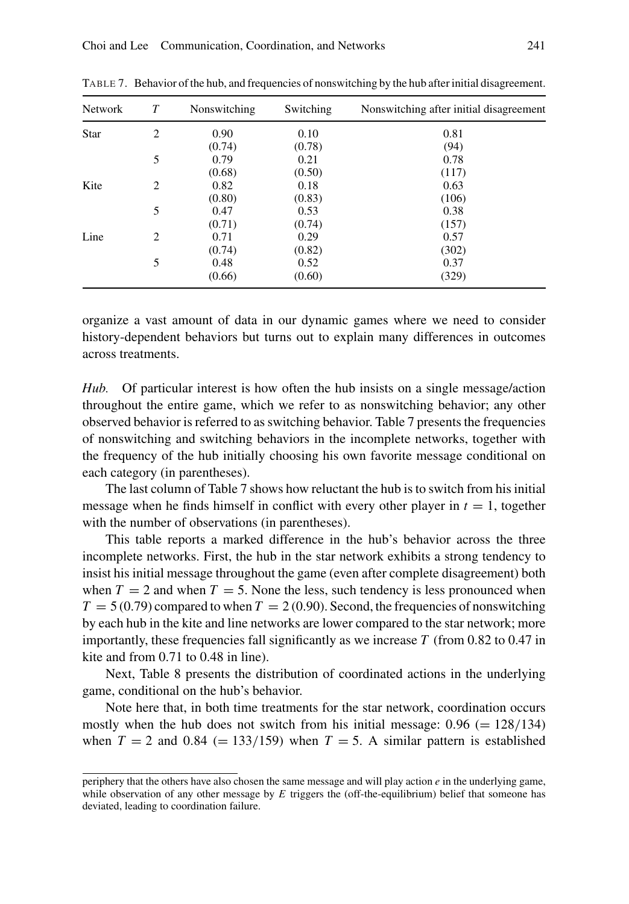| <b>Network</b> | T | Nonswitching | Switching | Nonswitching after initial disagreement |
|----------------|---|--------------|-----------|-----------------------------------------|
| <b>Star</b>    | 2 | 0.90         | 0.10      | 0.81                                    |
|                |   | (0.74)       | (0.78)    | (94)                                    |
|                | 5 | 0.79         | 0.21      | 0.78                                    |
|                |   | (0.68)       | (0.50)    | (117)                                   |
| Kite           | 2 | 0.82         | 0.18      | 0.63                                    |
|                |   | (0.80)       | (0.83)    | (106)                                   |
|                | 5 | 0.47         | 0.53      | 0.38                                    |
|                |   | (0.71)       | (0.74)    | (157)                                   |
| Line           | 2 | 0.71         | 0.29      | 0.57                                    |
|                |   | (0.74)       | (0.82)    | (302)                                   |
|                | 5 | 0.48         | 0.52      | 0.37                                    |
|                |   | (0.66)       | (0.60)    | (329)                                   |

TABLE 7. Behavior of the hub, and frequencies of nonswitching by the hub after initial disagreement.

organize a vast amount of data in our dynamic games where we need to consider history-dependent behaviors but turns out to explain many differences in outcomes across treatments.

*Hub.* Of particular interest is how often the hub insists on a single message/action throughout the entire game, which we refer to as nonswitching behavior; any other observed behavior is referred to as switching behavior. Table 7 presents the frequencies of nonswitching and switching behaviors in the incomplete networks, together with the frequency of the hub initially choosing his own favorite message conditional on each category (in parentheses).

The last column of Table 7 shows how reluctant the hub is to switch from his initial message when he finds himself in conflict with every other player in  $t = 1$ , together with the number of observations (in parentheses).

This table reports a marked difference in the hub's behavior across the three incomplete networks. First, the hub in the star network exhibits a strong tendency to insist his initial message throughout the game (even after complete disagreement) both when  $T = 2$  and when  $T = 5$ . None the less, such tendency is less pronounced when  $T = 5(0.79)$  compared to when  $T = 2(0.90)$ . Second, the frequencies of nonswitching by each hub in the kite and line networks are lower compared to the star network; more importantly, these frequencies fall significantly as we increase *T* (from 0.82 to 0.47 in kite and from 0.71 to 0.48 in line).

Next, Table 8 presents the distribution of coordinated actions in the underlying game, conditional on the hub's behavior.

Note here that, in both time treatments for the star network, coordination occurs mostly when the hub does not switch from his initial message:  $0.96 (= 128/134)$ when  $T = 2$  and 0.84 (= 133/159) when  $T = 5$ . A similar pattern is established

periphery that the others have also chosen the same message and will play action *e* in the underlying game, while observation of any other message by *E* triggers the (off-the-equilibrium) belief that someone has deviated, leading to coordination failure.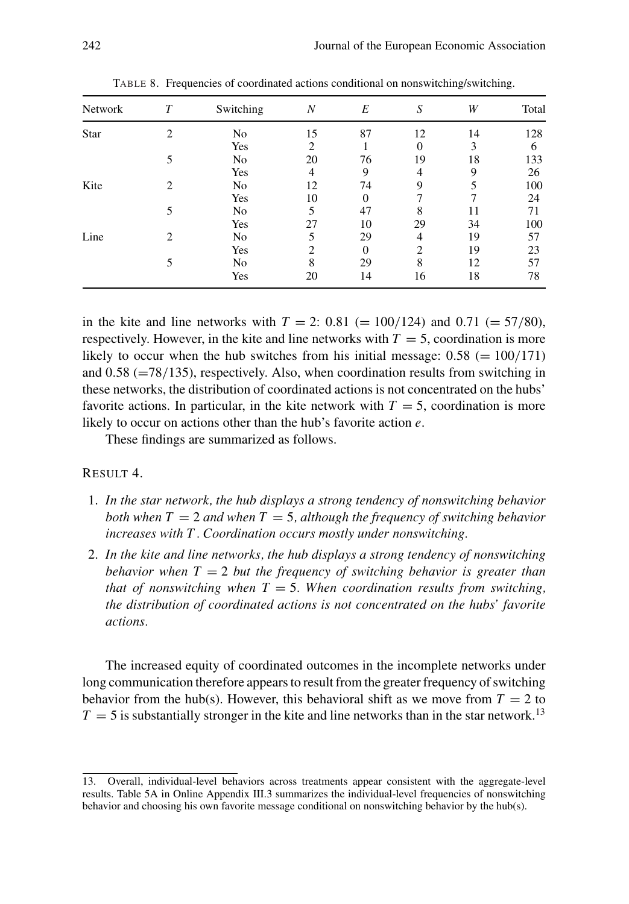| <b>Network</b> | T              | Switching      | $\boldsymbol{N}$ | E        | $\boldsymbol{S}$ | W  | Total |
|----------------|----------------|----------------|------------------|----------|------------------|----|-------|
| Star           | $\overline{c}$ | No             | 15               | 87       | 12               | 14 | 128   |
|                |                | Yes            | $\overline{c}$   |          | $\Omega$         | 3  | 6     |
|                | 5              | N <sub>o</sub> | 20               | 76       | 19               | 18 | 133   |
|                |                | Yes            | 4                | 9        | 4                | 9  | 26    |
| Kite           | 2              | No             | 12               | 74       | 9                |    | 100   |
|                |                | Yes            | 10               | $\Omega$ |                  |    | 24    |
|                | 5              | No             | 5                | 47       | 8                | 11 | 71    |
|                |                | Yes            | 27               | 10       | 29               | 34 | 100   |
| Line           | 2              | No             | 5                | 29       | 4                | 19 | 57    |
|                |                | Yes            | 2                | $\Omega$ | $\overline{2}$   | 19 | 23    |
|                | 5              | No             | 8                | 29       | 8                | 12 | 57    |
|                |                | Yes            | 20               | 14       | 16               | 18 | 78    |

TABLE 8. Frequencies of coordinated actions conditional on nonswitching/switching.

in the kite and line networks with  $T = 2$ : 0.81 (= 100/124) and 0.71 (= 57/80), respectively. However, in the kite and line networks with  $T = 5$ , coordination is more likely to occur when the hub switches from his initial message:  $0.58 (= 100/171)$ and  $0.58$  ( $=78/135$ ), respectively. Also, when coordination results from switching in these networks, the distribution of coordinated actions is not concentrated on the hubs' favorite actions. In particular, in the kite network with  $T = 5$ , coordination is more likely to occur on actions other than the hub's favorite action *e*.

These findings are summarized as follows.

#### RESULT 4

- 1. *In the star network, the hub displays a strong tendency of nonswitching behavior both when T* = 2 *and when T* = 5*, although the frequency of switching behavior increases with T . Coordination occurs mostly under nonswitching.*
- 2. *In the kite and line networks, the hub displays a strong tendency of nonswitching behavior when T* = 2 *but the frequency of switching behavior is greater than that of nonswitching when*  $T = 5$ *. When coordination results from switching, the distribution of coordinated actions is not concentrated on the hubs' favorite actions.*

The increased equity of coordinated outcomes in the incomplete networks under long communication therefore appears to result from the greater frequency of switching behavior from the hub(s). However, this behavioral shift as we move from  $T = 2$  to  $T = 5$  is substantially stronger in the kite and line networks than in the star network.<sup>13</sup>

<sup>13.</sup> Overall, individual-level behaviors across treatments appear consistent with the aggregate-level results. Table 5A in Online Appendix III.3 summarizes the individual-level frequencies of nonswitching behavior and choosing his own favorite message conditional on nonswitching behavior by the hub(s).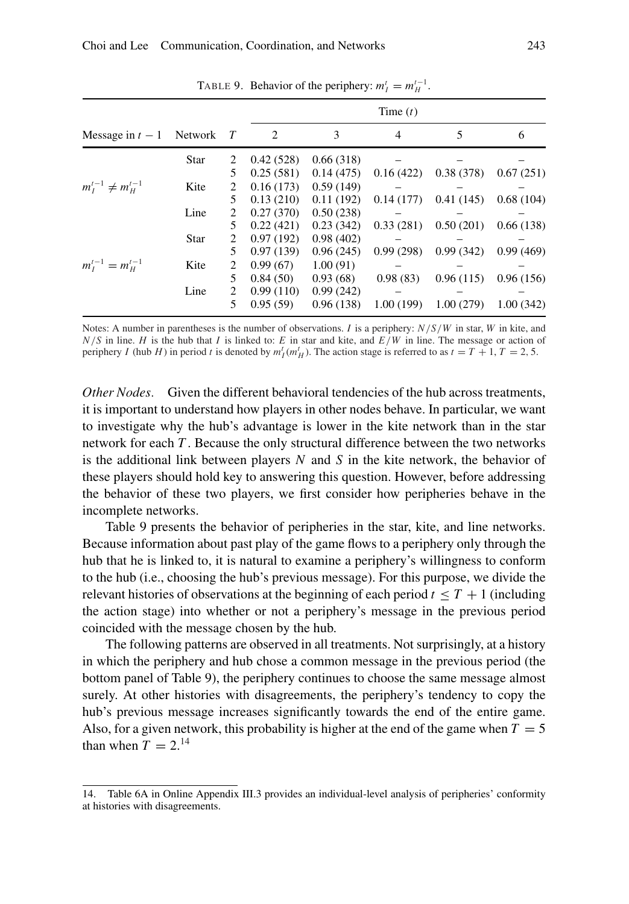|                            |             |    |                |                                                 | Time $(t)$                          |                                     |           |
|----------------------------|-------------|----|----------------|-------------------------------------------------|-------------------------------------|-------------------------------------|-----------|
| Message in $t-1$ Network T |             |    | $\overline{2}$ | 3                                               | $\overline{4}$                      | 5                                   | 6         |
|                            | Star        | 2  | 0.42(528)      | 0.66(318)                                       |                                     |                                     |           |
|                            |             | 5. |                | $0.25(581)$ $0.14(475)$ $0.16(422)$ $0.38(378)$ |                                     |                                     | 0.67(251) |
| $m_I^{t-1} \neq m_H^{t-1}$ | Kite        | 2  | 0.16(173)      | 0.59(149)                                       |                                     |                                     |           |
|                            |             | 5. | 0.13(210)      | 0.11(192)                                       |                                     | $0.14(177)$ $0.41(145)$             | 0.68(104) |
|                            | Line        | 2  | 0.27(370)      | 0.50(238)                                       |                                     |                                     |           |
|                            |             | 5. | 0.22(421)      | 0.23(342)                                       |                                     | $0.33(281)$ $0.50(201)$ $0.66(138)$ |           |
|                            | <b>Star</b> | 2  | 0.97(192)      | 0.98(402)                                       |                                     |                                     |           |
|                            |             | 5. | 0.97(139)      |                                                 | $0.96(245)$ $0.99(298)$ $0.99(342)$ |                                     | 0.99(469) |
| $m_I^{t-1} = m_H^{t-1}$    | Kite        | 2  | 0.99(67)       | 1.00(91)                                        |                                     |                                     |           |
|                            |             | 5  | 0.84(50)       | 0.93(68)                                        | 0.98(83)                            | 0.96(115)                           | 0.96(156) |
|                            | Line        | 2  | 0.99(110)      | 0.99(242)                                       |                                     |                                     |           |
|                            |             | 5  | 0.95(59)       | 0.96(138)                                       | 1.00(199)                           | 1.00(279)                           | 1.00(342) |

TABLE 9. Behavior of the periphery:  $m_I^t = m_H^{t-1}$ .

Notes: A number in parentheses is the number of observations. *I* is a periphery: *N*/*S*/*W* in star, *W* in kite, and *N*/*S* in line. *H* is the hub that *I* is linked to: *E* in star and kite, and *E*/*W* in line. The message or action of periphery *I* (hub *H*) in period *t* is denoted by  $m_I^t(m_H^t)$ . The action stage is referred to as  $t = T + 1$ ,  $T = 2$ , 5.

*Other Nodes.* Given the different behavioral tendencies of the hub across treatments, it is important to understand how players in other nodes behave. In particular, we want to investigate why the hub's advantage is lower in the kite network than in the star network for each *T* . Because the only structural difference between the two networks is the additional link between players *N* and *S* in the kite network, the behavior of these players should hold key to answering this question. However, before addressing the behavior of these two players, we first consider how peripheries behave in the incomplete networks.

Table 9 presents the behavior of peripheries in the star, kite, and line networks. Because information about past play of the game flows to a periphery only through the hub that he is linked to, it is natural to examine a periphery's willingness to conform to the hub (i.e., choosing the hub's previous message). For this purpose, we divide the relevant histories of observations at the beginning of each period  $t < T + 1$  (including the action stage) into whether or not a periphery's message in the previous period coincided with the message chosen by the hub.

The following patterns are observed in all treatments. Not surprisingly, at a history in which the periphery and hub chose a common message in the previous period (the bottom panel of Table 9), the periphery continues to choose the same message almost surely. At other histories with disagreements, the periphery's tendency to copy the hub's previous message increases significantly towards the end of the entire game. Also, for a given network, this probability is higher at the end of the game when  $T = 5$ than when  $T = 2^{14}$ 

<sup>14.</sup> Table 6A in Online Appendix III.3 provides an individual-level analysis of peripheries' conformity at histories with disagreements.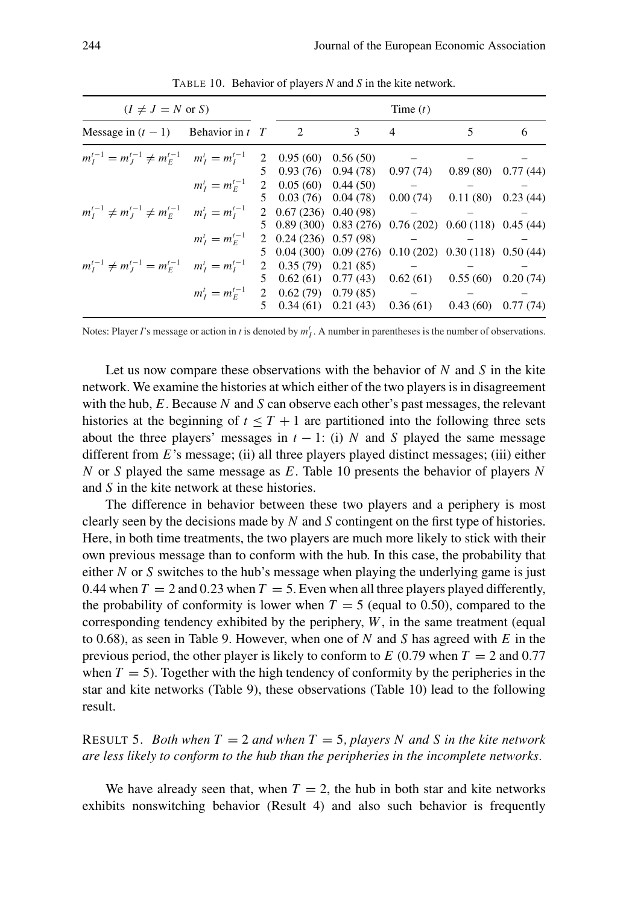| $(I \neq J = N$ or S)                                                            |                                            |  | Time $(t)$                                                                          |   |                |                                                        |   |  |
|----------------------------------------------------------------------------------|--------------------------------------------|--|-------------------------------------------------------------------------------------|---|----------------|--------------------------------------------------------|---|--|
| Message in $(t - 1)$ Behavior in t T                                             |                                            |  | $\overline{\phantom{a}}$ 2                                                          | 3 | $\overline{4}$ | 5                                                      | 6 |  |
| $m_I^{t-1} = m_I^{t-1} \neq m_F^{t-1}$ $m_I^t = m_I^{t-1}$ 2 0.95 (60) 0.56 (50) |                                            |  |                                                                                     |   |                |                                                        |   |  |
|                                                                                  |                                            |  | $5$ 0.93 (76) 0.94 (78) 0.97 (74) 0.89 (80) 0.77 (44)                               |   |                |                                                        |   |  |
|                                                                                  | $m_I^t = m_F^{t-1}$ 2 0.05 (60) 0.44 (50)  |  |                                                                                     |   |                |                                                        |   |  |
|                                                                                  |                                            |  | $5$ 0.03 (76) 0.04 (78) 0.00 (74) 0.11 (80) 0.23 (44)                               |   |                |                                                        |   |  |
| $m_I^{t-1} \neq m_I^{t-1} \neq m_F^{t-1}$ $m_I^t = m_I^{t-1}$                    |                                            |  | $2\quad 0.67(236) \quad 0.40(98)$                                                   |   |                |                                                        |   |  |
|                                                                                  |                                            |  | $5$ 0.89 (300) 0.83 (276) 0.76 (202) 0.60 (118) 0.45 (44)                           |   |                |                                                        |   |  |
|                                                                                  | $m_I^t = m_F^{t-1}$ 2 0.24 (236) 0.57 (98) |  |                                                                                     |   |                |                                                        |   |  |
|                                                                                  |                                            |  | $5$ 0.04 (300) 0.09 (276) 0.10 (202) 0.30 (118) 0.50 (44)                           |   |                |                                                        |   |  |
| $m_I^{t-1} \neq m_I^{t-1} = m_F^{t-1}$ $m_I^t = m_I^{t-1}$                       |                                            |  | $2\quad 0.35(79) \quad 0.21(85)$                                                    |   |                |                                                        |   |  |
|                                                                                  |                                            |  | $5\quad 0.62\ (61)\quad 0.77\ (43)\quad 0.62\ (61)\quad 0.55\ (60)\quad 0.20\ (74)$ |   |                |                                                        |   |  |
|                                                                                  | $m_I^t = m_F^{t-1}$ 2 0.62 (79) 0.79 (85)  |  |                                                                                     |   |                |                                                        |   |  |
|                                                                                  |                                            |  |                                                                                     |   |                | $0.34(61)$ $0.21(43)$ $0.36(61)$ $0.43(60)$ $0.77(74)$ |   |  |

TABLE 10. Behavior of players *N* and *S* in the kite network.

Notes: Player *I*'s message or action in *t* is denoted by  $m_I^t$ . A number in parentheses is the number of observations.

Let us now compare these observations with the behavior of *N* and *S* in the kite network. We examine the histories at which either of the two players is in disagreement with the hub, *E*. Because *N* and *S* can observe each other's past messages, the relevant histories at the beginning of  $t < T + 1$  are partitioned into the following three sets about the three players' messages in  $t - 1$ : (i) *N* and *S* played the same message different from *E*'s message; (ii) all three players played distinct messages; (iii) either *N* or *S* played the same message as *E*. Table 10 presents the behavior of players *N* and *S* in the kite network at these histories.

The difference in behavior between these two players and a periphery is most clearly seen by the decisions made by *N* and *S* contingent on the first type of histories. Here, in both time treatments, the two players are much more likely to stick with their own previous message than to conform with the hub. In this case, the probability that either *N* or *S* switches to the hub's message when playing the underlying game is just 0.44 when  $T = 2$  and 0.23 when  $T = 5$ . Even when all three players played differently, the probability of conformity is lower when  $T = 5$  (equal to 0.50), compared to the corresponding tendency exhibited by the periphery, *W*, in the same treatment (equal to 0.68), as seen in Table 9. However, when one of *N* and *S* has agreed with *E* in the previous period, the other player is likely to conform to  $E(0.79)$  when  $T = 2$  and 0.77 when  $T = 5$ ). Together with the high tendency of conformity by the peripheries in the star and kite networks (Table 9), these observations (Table 10) lead to the following result.

RESULT 5. *Both when*  $T = 2$  *and when*  $T = 5$ *, players N and S in the kite network are less likely to conform to the hub than the peripheries in the incomplete networks.*

We have already seen that, when  $T = 2$ , the hub in both star and kite networks exhibits nonswitching behavior (Result 4) and also such behavior is frequently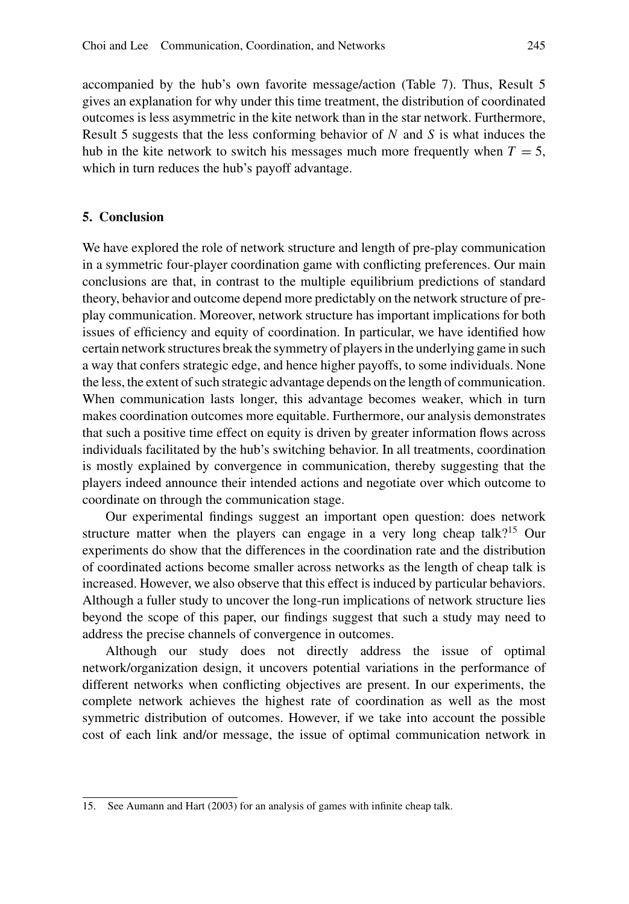accompanied by the hub's own favorite message/action (Table 7). Thus, Result 5 gives an explanation for why under this time treatment, the distribution of coordinated outcomes is less asymmetric in the kite network than in the star network. Furthermore, Result 5 suggests that the less conforming behavior of *N* and *S* is what induces the hub in the kite network to switch his messages much more frequently when  $T = 5$ , which in turn reduces the hub's payoff advantage.

# **5. Conclusion**

We have explored the role of network structure and length of pre-play communication in a symmetric four-player coordination game with conflicting preferences. Our main conclusions are that, in contrast to the multiple equilibrium predictions of standard theory, behavior and outcome depend more predictably on the network structure of preplay communication. Moreover, network structure has important implications for both issues of efficiency and equity of coordination. In particular, we have identified how certain network structures break the symmetry of players in the underlying game in such a way that confers strategic edge, and hence higher payoffs, to some individuals. None the less, the extent of such strategic advantage depends on the length of communication. When communication lasts longer, this advantage becomes weaker, which in turn makes coordination outcomes more equitable. Furthermore, our analysis demonstrates that such a positive time effect on equity is driven by greater information flows across individuals facilitated by the hub's switching behavior. In all treatments, coordination is mostly explained by convergence in communication, thereby suggesting that the players indeed announce their intended actions and negotiate over which outcome to coordinate on through the communication stage.

Our experimental findings suggest an important open question: does network structure matter when the players can engage in a very long cheap talk?<sup>15</sup> Our experiments do show that the differences in the coordination rate and the distribution of coordinated actions become smaller across networks as the length of cheap talk is increased. However, we also observe that this effect is induced by particular behaviors. Although a fuller study to uncover the long-run implications of network structure lies beyond the scope of this paper, our findings suggest that such a study may need to address the precise channels of convergence in outcomes.

Although our study does not directly address the issue of optimal network/organization design, it uncovers potential variations in the performance of different networks when conflicting objectives are present. In our experiments, the complete network achieves the highest rate of coordination as well as the most symmetric distribution of outcomes. However, if we take into account the possible cost of each link and/or message, the issue of optimal communication network in

<sup>15.</sup> See Aumann and Hart (2003) for an analysis of games with infinite cheap talk.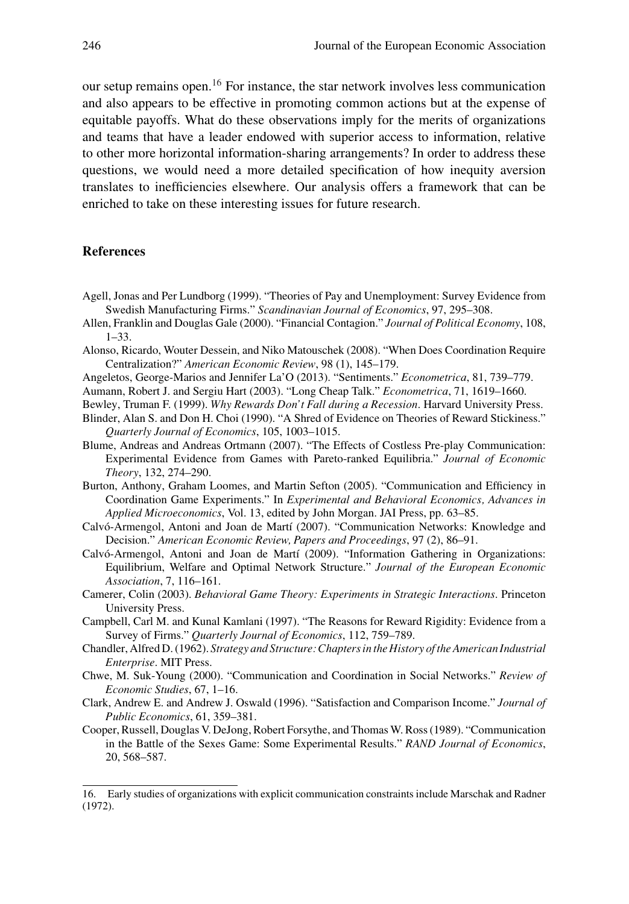our setup remains open.<sup>16</sup> For instance, the star network involves less communication and also appears to be effective in promoting common actions but at the expense of equitable payoffs. What do these observations imply for the merits of organizations and teams that have a leader endowed with superior access to information, relative to other more horizontal information-sharing arrangements? In order to address these questions, we would need a more detailed specification of how inequity aversion translates to inefficiencies elsewhere. Our analysis offers a framework that can be enriched to take on these interesting issues for future research.

#### **References**

- Agell, Jonas and Per Lundborg (1999). "Theories of Pay and Unemployment: Survey Evidence from Swedish Manufacturing Firms." *Scandinavian Journal of Economics*, 97, 295–308.
- Allen, Franklin and Douglas Gale (2000). "Financial Contagion." *Journal of Political Economy*, 108, 1–33.
- Alonso, Ricardo, Wouter Dessein, and Niko Matouschek (2008). "When Does Coordination Require Centralization?" *American Economic Review*, 98 (1), 145–179.
- Angeletos, George-Marios and Jennifer La'O (2013). "Sentiments." *Econometrica*, 81, 739–779.
- Aumann, Robert J. and Sergiu Hart (2003). "Long Cheap Talk." *Econometrica*, 71, 1619–1660.
- Bewley, Truman F. (1999). *Why Rewards Don't Fall during a Recession*. Harvard University Press.
- Blinder, Alan S. and Don H. Choi (1990). "A Shred of Evidence on Theories of Reward Stickiness." *Quarterly Journal of Economics*, 105, 1003–1015.
- Blume, Andreas and Andreas Ortmann (2007). "The Effects of Costless Pre-play Communication: Experimental Evidence from Games with Pareto-ranked Equilibria." *Journal of Economic Theory*, 132, 274–290.
- Burton, Anthony, Graham Loomes, and Martin Sefton (2005). "Communication and Efficiency in Coordination Game Experiments." In *Experimental and Behavioral Economics, Advances in Applied Microeconomics*, Vol. 13, edited by John Morgan. JAI Press, pp. 63–85.
- Calvó-Armengol, Antoni and Joan de Martí (2007). "Communication Networks: Knowledge and Decision." *American Economic Review, Papers and Proceedings*, 97 (2), 86–91.
- Calvó-Armengol, Antoni and Joan de Martí (2009). "Information Gathering in Organizations: Equilibrium, Welfare and Optimal Network Structure." *Journal of the European Economic Association*, 7, 116–161.
- Camerer, Colin (2003). *Behavioral Game Theory: Experiments in Strategic Interactions*. Princeton University Press.
- Campbell, Carl M. and Kunal Kamlani (1997). "The Reasons for Reward Rigidity: Evidence from a Survey of Firms." *Quarterly Journal of Economics*, 112, 759–789.
- Chandler, Alfred D. (1962). *Strategy and Structure: Chapters in the History of the American Industrial Enterprise*. MIT Press.
- Chwe, M. Suk-Young (2000). "Communication and Coordination in Social Networks." *Review of Economic Studies*, 67, 1–16.
- Clark, Andrew E. and Andrew J. Oswald (1996). "Satisfaction and Comparison Income." *Journal of Public Economics*, 61, 359–381.
- Cooper, Russell, Douglas V. DeJong, Robert Forsythe, and Thomas W. Ross (1989). "Communication in the Battle of the Sexes Game: Some Experimental Results." *RAND Journal of Economics*, 20, 568–587.

<sup>16.</sup> Early studies of organizations with explicit communication constraints include Marschak and Radner (1972).